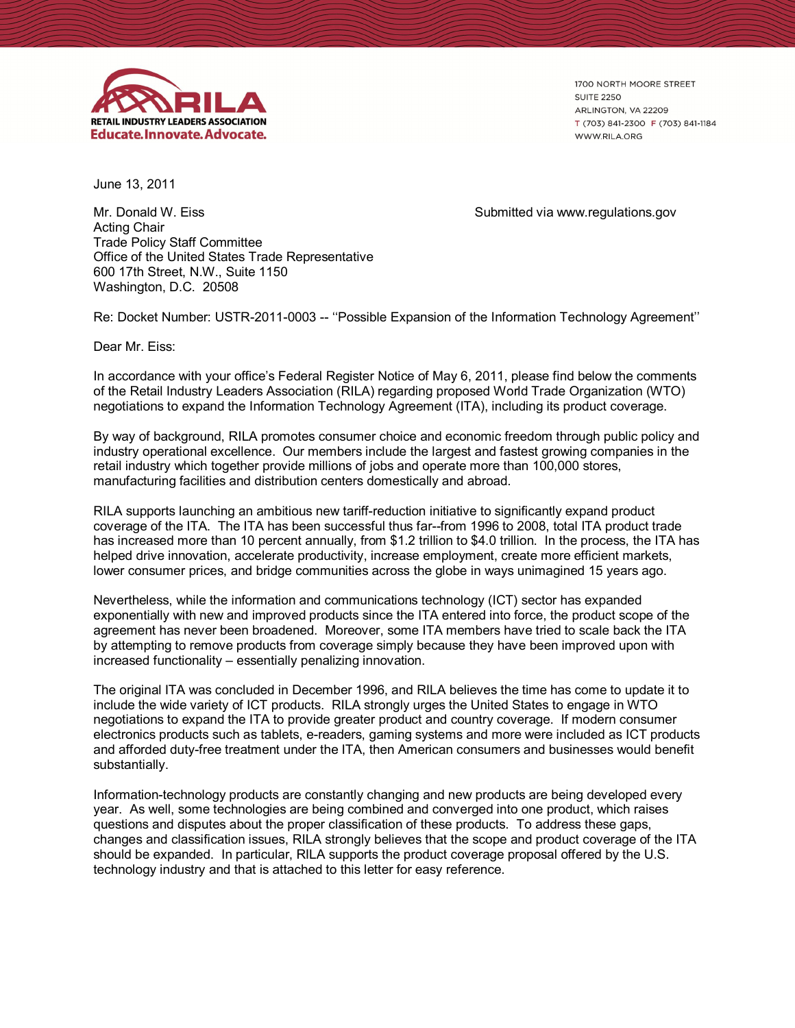

1700 NORTH MOORE STREET **SUITE 2250** ARLINGTON, VA 22209 T (703) 841-2300 F (703) 841-1184 WWW.RILA.ORG

June 13, 2011

Mr. Donald W. Eiss Submitted via www.regulations.gov Acting Chair Trade Policy Staff Committee Office of the United States Trade Representative 600 17th Street, N.W., Suite 1150 Washington, D.C. 20508

Re: Docket Number: USTR-2011-0003 -- "Possible Expansion of the Information Technology Agreement"

Dear Mr. Eiss:

In accordance with your office's Federal Register Notice of May 6, 2011, please find below the comments of the Retail Industry Leaders Association (RILA) regarding proposed World Trade Organization (WTO) negotiations to expand the Information Technology Agreement (ITA), including its product coverage.

By way of background, RILA promotes consumer choice and economic freedom through public policy and industry operational excellence. Our members include the largest and fastest growing companies in the retail industry which together provide millions of jobs and operate more than 100,000 stores, manufacturing facilities and distribution centers domestically and abroad.

RILA supports launching an ambitious new tariff-reduction initiative to significantly expand product coverage of the ITA. The ITA has been successful thus far--from 1996 to 2008, total ITA product trade has increased more than 10 percent annually, from \$1.2 trillion to \$4.0 trillion. In the process, the ITA has helped drive innovation, accelerate productivity, increase employment, create more efficient markets, lower consumer prices, and bridge communities across the globe in ways unimagined 15 years ago.

Nevertheless, while the information and communications technology (ICT) sector has expanded exponentially with new and improved products since the ITA entered into force, the product scope of the agreement has never been broadened. Moreover, some ITA members have tried to scale back the ITA by attempting to remove products from coverage simply because they have been improved upon with increased functionality – essentially penalizing innovation.

The original ITA was concluded in December 1996, and RILA believes the time has come to update it to include the wide variety of ICT products. RILA strongly urges the United States to engage in WTO negotiations to expand the ITA to provide greater product and country coverage. If modern consumer electronics products such as tablets, e-readers, gaming systems and more were included as ICT products and afforded duty-free treatment under the ITA, then American consumers and businesses would benefit substantially.

Information-technology products are constantly changing and new products are being developed every year. As well, some technologies are being combined and converged into one product, which raises questions and disputes about the proper classification of these products. To address these gaps, changes and classification issues, RILA strongly believes that the scope and product coverage of the ITA should be expanded. In particular, RILA supports the product coverage proposal offered by the U.S. technology industry and that is attached to this letter for easy reference.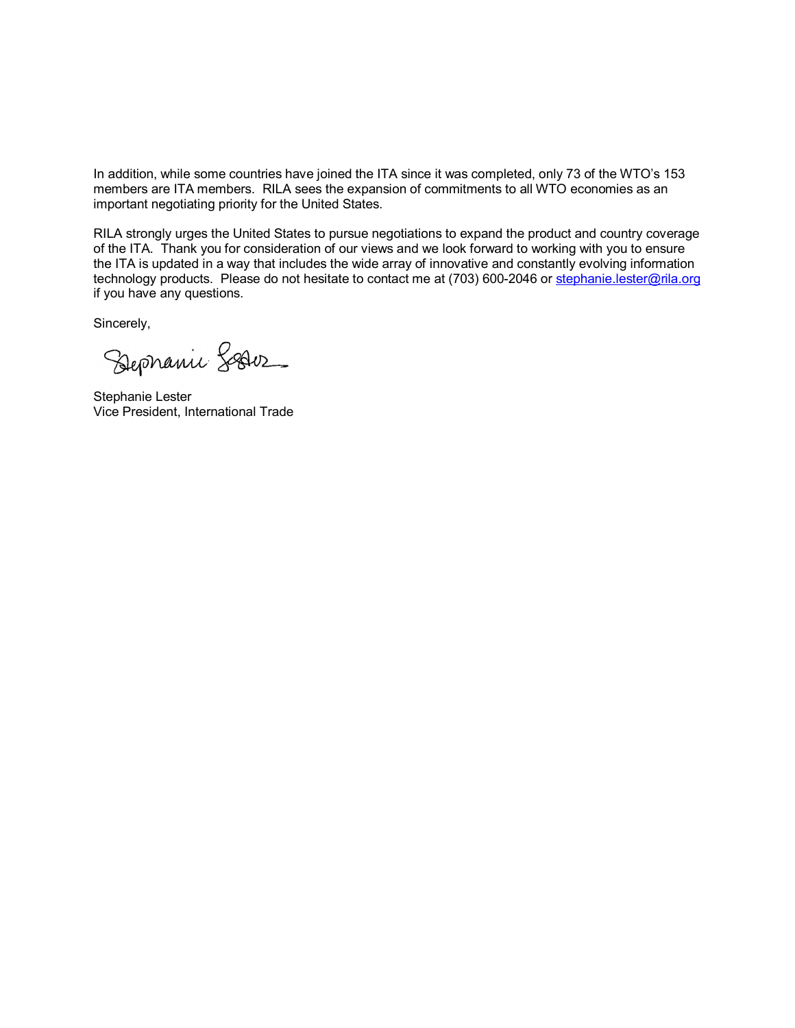In addition, while some countries have joined the ITA since it was completed, only 73 of the WTO's 153 members are ITA members. RILA sees the expansion of commitments to all WTO economies as an important negotiating priority for the United States.

RILA strongly urges the United States to pursue negotiations to expand the product and country coverage of the ITA. Thank you for consideration of our views and we look forward to working with you to ensure the ITA is updated in a way that includes the wide array of innovative and constantly evolving information technology products. Please do not hesitate to contact me at (703) 600-2046 or stephanie.lester@rila.org if you have any questions.

Sincerely,

Sephanic Sesion

Stephanie Lester Vice President, International Trade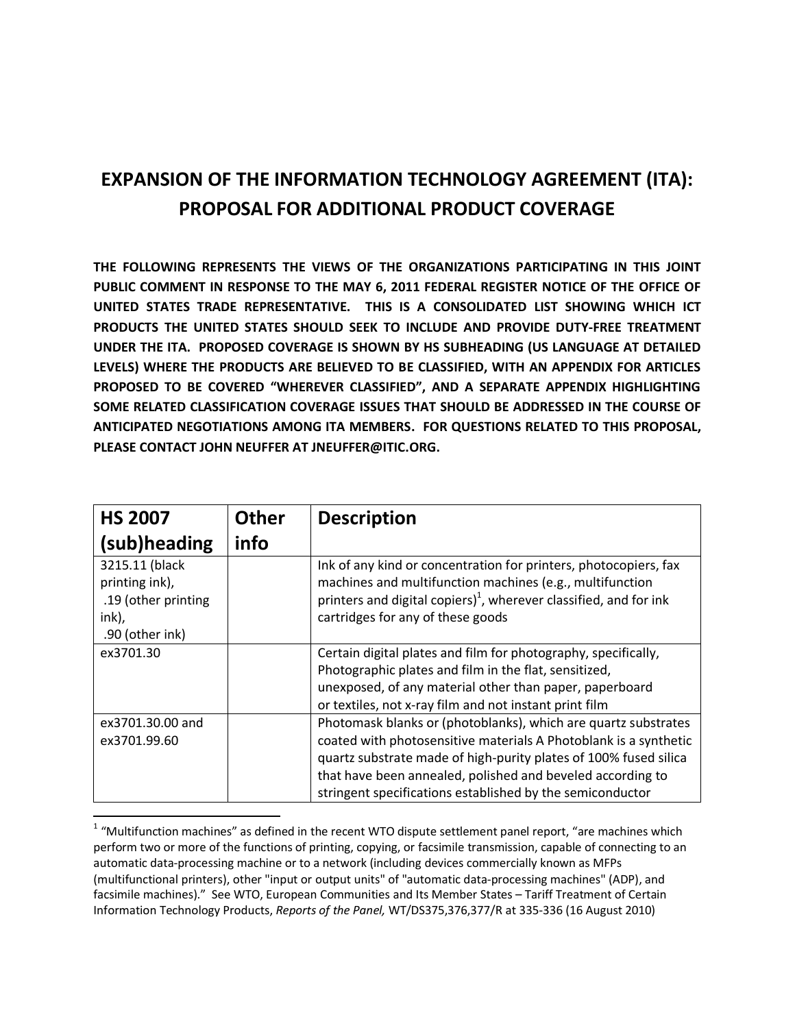## **EXPANSION OF THE INFORMATION TECHNOLOGY AGREEMENT (ITA): PROPOSAL FOR ADDITIONAL PRODUCT COVERAGE**

**THE FOLLOWING REPRESENTS THE VIEWS OF THE ORGANIZATIONS PARTICIPATING IN THIS JOINT PUBLIC COMMENT IN RESPONSE TO THE MAY 6, 2011 FEDERAL REGISTER NOTICE OF THE OFFICE OF UNITED STATES TRADE REPRESENTATIVE. THIS IS A CONSOLIDATED LIST SHOWING WHICH ICT PRODUCTS THE UNITED STATES SHOULD SEEK TO INCLUDE AND PROVIDE DUTY-FREE TREATMENT UNDER THE ITA. PROPOSED COVERAGE IS SHOWN BY HS SUBHEADING (US LANGUAGE AT DETAILED LEVELS) WHERE THE PRODUCTS ARE BELIEVED TO BE CLASSIFIED, WITH AN APPENDIX FOR ARTICLES PROPOSED TO BE COVERED "WHEREVER CLASSIFIED", AND A SEPARATE APPENDIX HIGHLIGHTING SOME RELATED CLASSIFICATION COVERAGE ISSUES THAT SHOULD BE ADDRESSED IN THE COURSE OF ANTICIPATED NEGOTIATIONS AMONG ITA MEMBERS. FOR QUESTIONS RELATED TO THIS PROPOSAL, PLEASE CONTACT JOHN NEUFFER AT JNEUFFER@ITIC.ORG.** 

| <b>HS 2007</b>                                                                      | <b>Other</b> | <b>Description</b>                                                                                                                                                                                                                                                                                                                |
|-------------------------------------------------------------------------------------|--------------|-----------------------------------------------------------------------------------------------------------------------------------------------------------------------------------------------------------------------------------------------------------------------------------------------------------------------------------|
| (sub)heading                                                                        | info         |                                                                                                                                                                                                                                                                                                                                   |
| 3215.11 (black<br>printing ink),<br>.19 (other printing<br>ink),<br>.90 (other ink) |              | Ink of any kind or concentration for printers, photocopiers, fax<br>machines and multifunction machines (e.g., multifunction<br>printers and digital copiers) <sup>1</sup> , wherever classified, and for ink<br>cartridges for any of these goods                                                                                |
| ex3701.30                                                                           |              | Certain digital plates and film for photography, specifically,<br>Photographic plates and film in the flat, sensitized,<br>unexposed, of any material other than paper, paperboard<br>or textiles, not x-ray film and not instant print film                                                                                      |
| ex3701.30.00 and<br>ex3701.99.60                                                    |              | Photomask blanks or (photoblanks), which are quartz substrates<br>coated with photosensitive materials A Photoblank is a synthetic<br>quartz substrate made of high-purity plates of 100% fused silica<br>that have been annealed, polished and beveled according to<br>stringent specifications established by the semiconductor |

 1 "Multifunction machines" as defined in the recent WTO dispute settlement panel report, "are machines which perform two or more of the functions of printing, copying, or facsimile transmission, capable of connecting to an automatic data-processing machine or to a network (including devices commercially known as MFPs (multifunctional printers), other "input or output units" of "automatic data-processing machines" (ADP), and facsimile machines)." See WTO, European Communities and Its Member States – Tariff Treatment of Certain Information Technology Products, *Reports of the Panel,* WT/DS375,376,377/R at 335-336 (16 August 2010)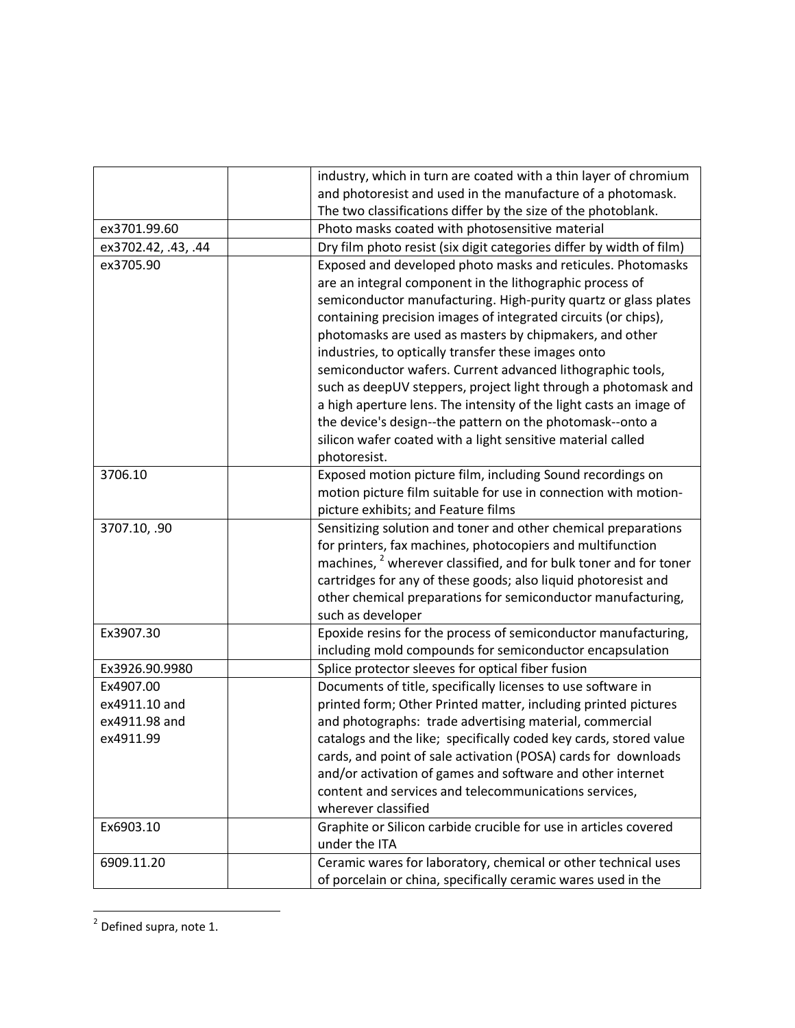|                     | industry, which in turn are coated with a thin layer of chromium             |
|---------------------|------------------------------------------------------------------------------|
|                     | and photoresist and used in the manufacture of a photomask.                  |
|                     | The two classifications differ by the size of the photoblank.                |
| ex3701.99.60        | Photo masks coated with photosensitive material                              |
| ex3702.42, .43, .44 | Dry film photo resist (six digit categories differ by width of film)         |
| ex3705.90           | Exposed and developed photo masks and reticules. Photomasks                  |
|                     | are an integral component in the lithographic process of                     |
|                     | semiconductor manufacturing. High-purity quartz or glass plates              |
|                     | containing precision images of integrated circuits (or chips),               |
|                     | photomasks are used as masters by chipmakers, and other                      |
|                     | industries, to optically transfer these images onto                          |
|                     | semiconductor wafers. Current advanced lithographic tools,                   |
|                     | such as deepUV steppers, project light through a photomask and               |
|                     | a high aperture lens. The intensity of the light casts an image of           |
|                     | the device's design--the pattern on the photomask--onto a                    |
|                     | silicon wafer coated with a light sensitive material called                  |
|                     | photoresist.                                                                 |
| 3706.10             | Exposed motion picture film, including Sound recordings on                   |
|                     | motion picture film suitable for use in connection with motion-              |
|                     | picture exhibits; and Feature films                                          |
| 3707.10, .90        | Sensitizing solution and toner and other chemical preparations               |
|                     | for printers, fax machines, photocopiers and multifunction                   |
|                     | machines, <sup>2</sup> wherever classified, and for bulk toner and for toner |
|                     | cartridges for any of these goods; also liquid photoresist and               |
|                     | other chemical preparations for semiconductor manufacturing,                 |
|                     | such as developer                                                            |
| Ex3907.30           | Epoxide resins for the process of semiconductor manufacturing,               |
|                     | including mold compounds for semiconductor encapsulation                     |
| Ex3926.90.9980      | Splice protector sleeves for optical fiber fusion                            |
| Ex4907.00           | Documents of title, specifically licenses to use software in                 |
| ex4911.10 and       | printed form; Other Printed matter, including printed pictures               |
| ex4911.98 and       | and photographs: trade advertising material, commercial                      |
| ex4911.99           | catalogs and the like; specifically coded key cards, stored value            |
|                     | cards, and point of sale activation (POSA) cards for downloads               |
|                     | and/or activation of games and software and other internet                   |
|                     | content and services and telecommunications services,                        |
|                     | wherever classified                                                          |
| Ex6903.10           | Graphite or Silicon carbide crucible for use in articles covered             |
|                     | under the ITA                                                                |
| 6909.11.20          | Ceramic wares for laboratory, chemical or other technical uses               |
|                     | of porcelain or china, specifically ceramic wares used in the                |

<sup>-&</sup>lt;br><sup>2</sup> Defined supra, note 1.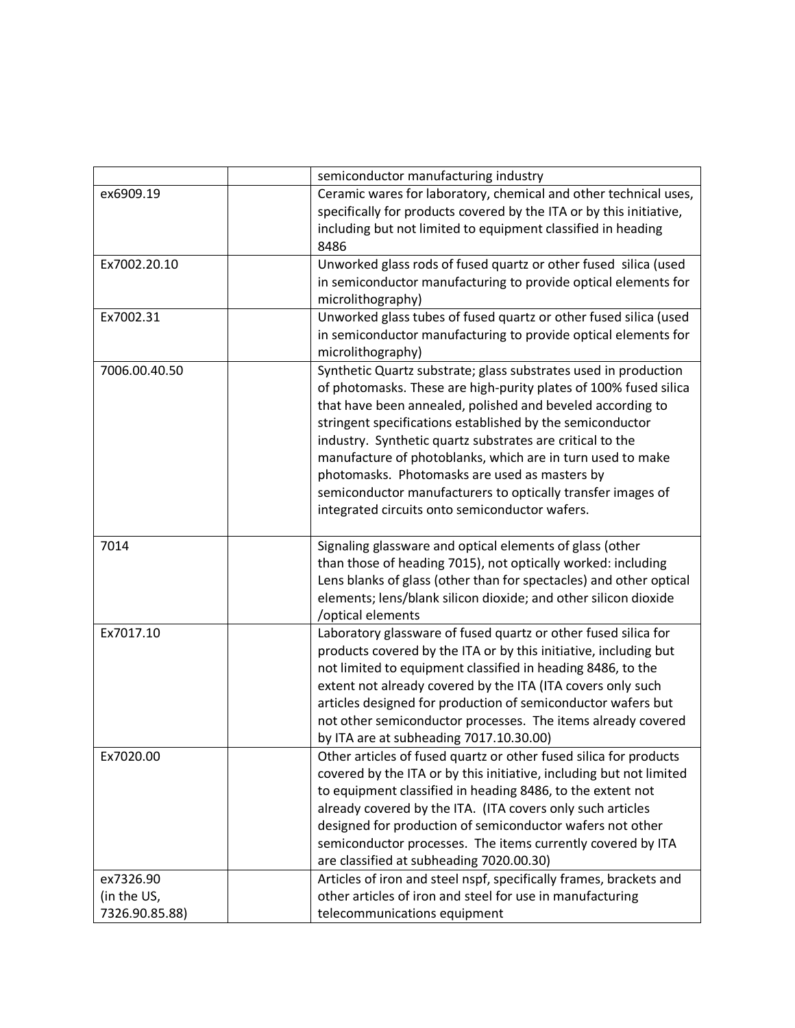|                | semiconductor manufacturing industry                                |
|----------------|---------------------------------------------------------------------|
| ex6909.19      | Ceramic wares for laboratory, chemical and other technical uses,    |
|                | specifically for products covered by the ITA or by this initiative, |
|                | including but not limited to equipment classified in heading        |
|                | 8486                                                                |
| Ex7002.20.10   | Unworked glass rods of fused quartz or other fused silica (used     |
|                | in semiconductor manufacturing to provide optical elements for      |
|                | microlithography)                                                   |
| Ex7002.31      | Unworked glass tubes of fused quartz or other fused silica (used    |
|                | in semiconductor manufacturing to provide optical elements for      |
|                | microlithography)                                                   |
| 7006.00.40.50  | Synthetic Quartz substrate; glass substrates used in production     |
|                | of photomasks. These are high-purity plates of 100% fused silica    |
|                | that have been annealed, polished and beveled according to          |
|                | stringent specifications established by the semiconductor           |
|                | industry. Synthetic quartz substrates are critical to the           |
|                | manufacture of photoblanks, which are in turn used to make          |
|                | photomasks. Photomasks are used as masters by                       |
|                | semiconductor manufacturers to optically transfer images of         |
|                | integrated circuits onto semiconductor wafers.                      |
|                |                                                                     |
| 7014           | Signaling glassware and optical elements of glass (other            |
|                | than those of heading 7015), not optically worked: including        |
|                | Lens blanks of glass (other than for spectacles) and other optical  |
|                | elements; lens/blank silicon dioxide; and other silicon dioxide     |
|                | /optical elements                                                   |
| Ex7017.10      | Laboratory glassware of fused quartz or other fused silica for      |
|                | products covered by the ITA or by this initiative, including but    |
|                | not limited to equipment classified in heading 8486, to the         |
|                | extent not already covered by the ITA (ITA covers only such         |
|                | articles designed for production of semiconductor wafers but        |
|                | not other semiconductor processes. The items already covered        |
|                | by ITA are at subheading 7017.10.30.00)                             |
| Ex7020.00      | Other articles of fused quartz or other fused silica for products   |
|                | covered by the ITA or by this initiative, including but not limited |
|                | to equipment classified in heading 8486, to the extent not          |
|                | already covered by the ITA. (ITA covers only such articles          |
|                | designed for production of semiconductor wafers not other           |
|                | semiconductor processes. The items currently covered by ITA         |
|                | are classified at subheading 7020.00.30)                            |
| ex7326.90      | Articles of iron and steel nspf, specifically frames, brackets and  |
| (in the US,    | other articles of iron and steel for use in manufacturing           |
| 7326.90.85.88) | telecommunications equipment                                        |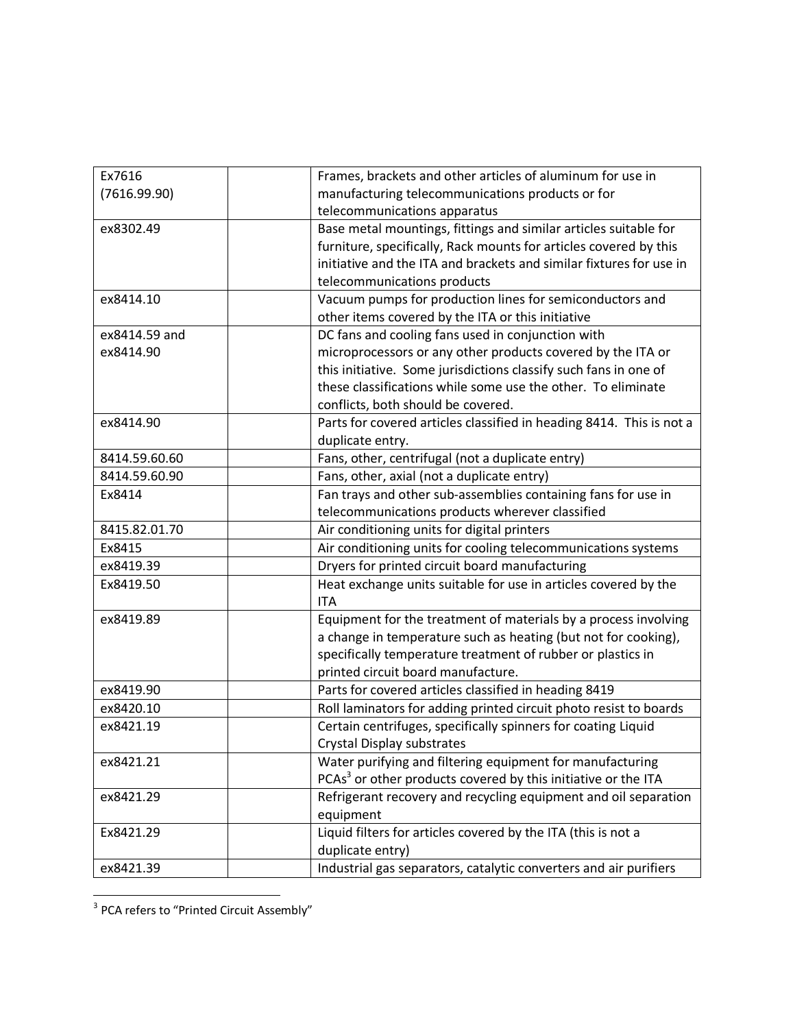| Ex7616        | Frames, brackets and other articles of aluminum for use in                |
|---------------|---------------------------------------------------------------------------|
| (7616.99.90)  | manufacturing telecommunications products or for                          |
|               | telecommunications apparatus                                              |
| ex8302.49     | Base metal mountings, fittings and similar articles suitable for          |
|               | furniture, specifically, Rack mounts for articles covered by this         |
|               | initiative and the ITA and brackets and similar fixtures for use in       |
|               | telecommunications products                                               |
| ex8414.10     | Vacuum pumps for production lines for semiconductors and                  |
|               | other items covered by the ITA or this initiative                         |
| ex8414.59 and | DC fans and cooling fans used in conjunction with                         |
| ex8414.90     | microprocessors or any other products covered by the ITA or               |
|               | this initiative. Some jurisdictions classify such fans in one of          |
|               | these classifications while some use the other. To eliminate              |
|               | conflicts, both should be covered.                                        |
| ex8414.90     | Parts for covered articles classified in heading 8414. This is not a      |
|               | duplicate entry.                                                          |
| 8414.59.60.60 | Fans, other, centrifugal (not a duplicate entry)                          |
| 8414.59.60.90 | Fans, other, axial (not a duplicate entry)                                |
| Ex8414        | Fan trays and other sub-assemblies containing fans for use in             |
|               | telecommunications products wherever classified                           |
| 8415.82.01.70 | Air conditioning units for digital printers                               |
| Ex8415        | Air conditioning units for cooling telecommunications systems             |
| ex8419.39     | Dryers for printed circuit board manufacturing                            |
| Ex8419.50     | Heat exchange units suitable for use in articles covered by the           |
|               | <b>ITA</b>                                                                |
| ex8419.89     | Equipment for the treatment of materials by a process involving           |
|               | a change in temperature such as heating (but not for cooking),            |
|               | specifically temperature treatment of rubber or plastics in               |
|               | printed circuit board manufacture.                                        |
| ex8419.90     | Parts for covered articles classified in heading 8419                     |
| ex8420.10     | Roll laminators for adding printed circuit photo resist to boards         |
| ex8421.19     | Certain centrifuges, specifically spinners for coating Liquid             |
|               | Crystal Display substrates                                                |
| ex8421.21     | Water purifying and filtering equipment for manufacturing                 |
|               | PCAs <sup>3</sup> or other products covered by this initiative or the ITA |
| ex8421.29     | Refrigerant recovery and recycling equipment and oil separation           |
|               | equipment                                                                 |
| Ex8421.29     | Liquid filters for articles covered by the ITA (this is not a             |
|               | duplicate entry)                                                          |
| ex8421.39     | Industrial gas separators, catalytic converters and air purifiers         |

 3 PCA refers to "Printed Circuit Assembly"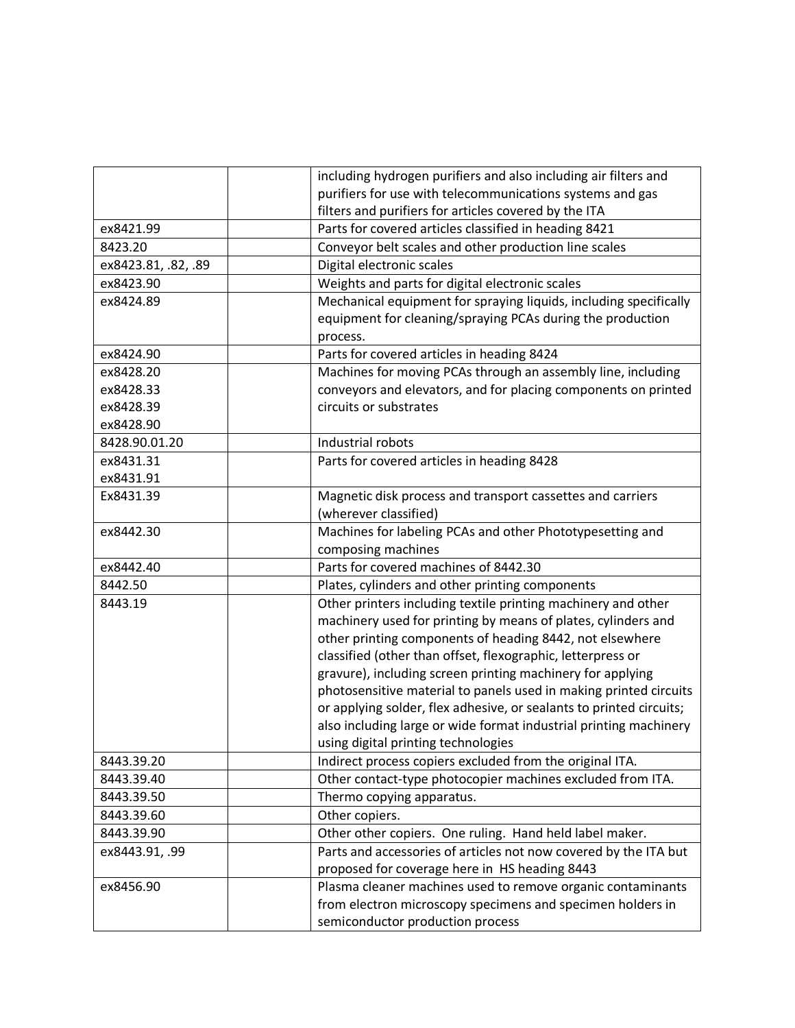|                     | including hydrogen purifiers and also including air filters and     |
|---------------------|---------------------------------------------------------------------|
|                     | purifiers for use with telecommunications systems and gas           |
|                     | filters and purifiers for articles covered by the ITA               |
| ex8421.99           | Parts for covered articles classified in heading 8421               |
| 8423.20             | Conveyor belt scales and other production line scales               |
| ex8423.81, .82, .89 | Digital electronic scales                                           |
| ex8423.90           | Weights and parts for digital electronic scales                     |
| ex8424.89           | Mechanical equipment for spraying liquids, including specifically   |
|                     | equipment for cleaning/spraying PCAs during the production          |
|                     | process.                                                            |
| ex8424.90           | Parts for covered articles in heading 8424                          |
| ex8428.20           | Machines for moving PCAs through an assembly line, including        |
| ex8428.33           | conveyors and elevators, and for placing components on printed      |
| ex8428.39           | circuits or substrates                                              |
| ex8428.90           |                                                                     |
| 8428.90.01.20       | Industrial robots                                                   |
| ex8431.31           | Parts for covered articles in heading 8428                          |
| ex8431.91           |                                                                     |
| Ex8431.39           | Magnetic disk process and transport cassettes and carriers          |
|                     | (wherever classified)                                               |
| ex8442.30           | Machines for labeling PCAs and other Phototypesetting and           |
|                     | composing machines                                                  |
| ex8442.40           | Parts for covered machines of 8442.30                               |
| 8442.50             | Plates, cylinders and other printing components                     |
| 8443.19             | Other printers including textile printing machinery and other       |
|                     | machinery used for printing by means of plates, cylinders and       |
|                     | other printing components of heading 8442, not elsewhere            |
|                     | classified (other than offset, flexographic, letterpress or         |
|                     | gravure), including screen printing machinery for applying          |
|                     | photosensitive material to panels used in making printed circuits   |
|                     | or applying solder, flex adhesive, or sealants to printed circuits; |
|                     | also including large or wide format industrial printing machinery   |
|                     | using digital printing technologies                                 |
| 8443.39.20          | Indirect process copiers excluded from the original ITA.            |
| 8443.39.40          | Other contact-type photocopier machines excluded from ITA.          |
| 8443.39.50          | Thermo copying apparatus.                                           |
| 8443.39.60          | Other copiers.                                                      |
| 8443.39.90          | Other other copiers. One ruling. Hand held label maker.             |
| ex8443.91, .99      | Parts and accessories of articles not now covered by the ITA but    |
|                     | proposed for coverage here in HS heading 8443                       |
| ex8456.90           | Plasma cleaner machines used to remove organic contaminants         |
|                     | from electron microscopy specimens and specimen holders in          |
|                     | semiconductor production process                                    |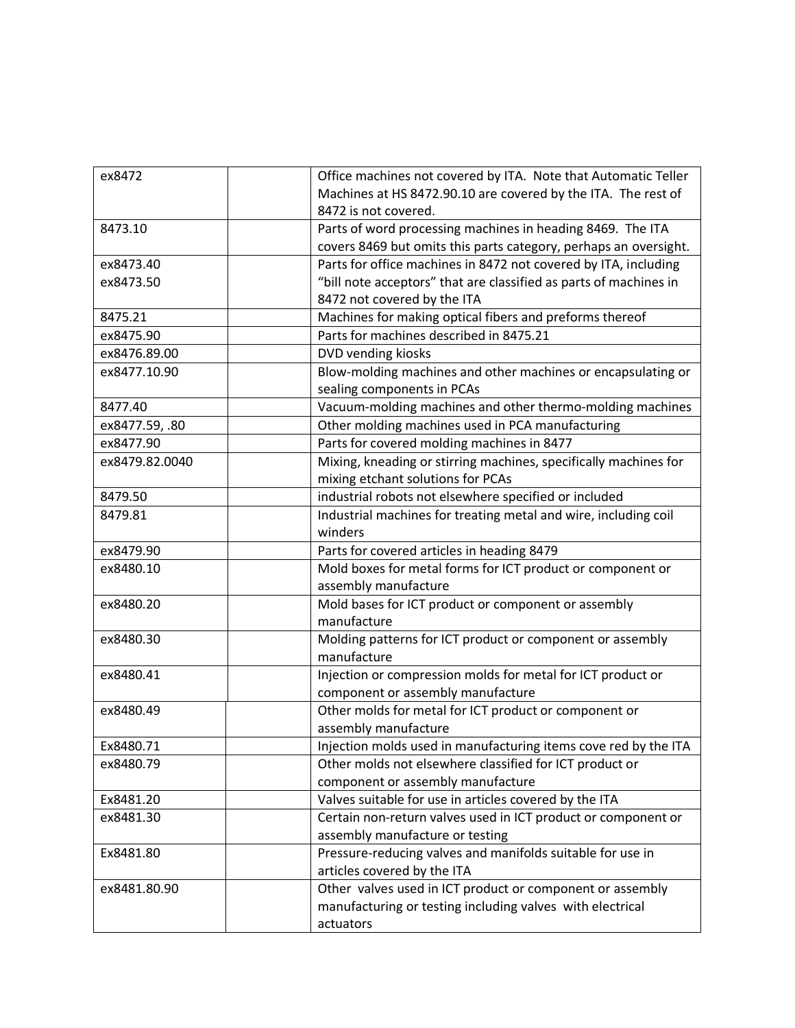| ex8472         | Office machines not covered by ITA. Note that Automatic Teller    |
|----------------|-------------------------------------------------------------------|
|                | Machines at HS 8472.90.10 are covered by the ITA. The rest of     |
|                | 8472 is not covered.                                              |
| 8473.10        | Parts of word processing machines in heading 8469. The ITA        |
|                | covers 8469 but omits this parts category, perhaps an oversight.  |
| ex8473.40      | Parts for office machines in 8472 not covered by ITA, including   |
| ex8473.50      | "bill note acceptors" that are classified as parts of machines in |
|                | 8472 not covered by the ITA                                       |
| 8475.21        | Machines for making optical fibers and preforms thereof           |
| ex8475.90      | Parts for machines described in 8475.21                           |
| ex8476.89.00   | DVD vending kiosks                                                |
| ex8477.10.90   | Blow-molding machines and other machines or encapsulating or      |
|                | sealing components in PCAs                                        |
| 8477.40        | Vacuum-molding machines and other thermo-molding machines         |
| ex8477.59, .80 | Other molding machines used in PCA manufacturing                  |
| ex8477.90      | Parts for covered molding machines in 8477                        |
| ex8479.82.0040 | Mixing, kneading or stirring machines, specifically machines for  |
|                | mixing etchant solutions for PCAs                                 |
| 8479.50        | industrial robots not elsewhere specified or included             |
| 8479.81        | Industrial machines for treating metal and wire, including coil   |
|                | winders                                                           |
| ex8479.90      | Parts for covered articles in heading 8479                        |
| ex8480.10      | Mold boxes for metal forms for ICT product or component or        |
|                | assembly manufacture                                              |
| ex8480.20      | Mold bases for ICT product or component or assembly               |
|                | manufacture                                                       |
| ex8480.30      | Molding patterns for ICT product or component or assembly         |
|                | manufacture                                                       |
| ex8480.41      | Injection or compression molds for metal for ICT product or       |
|                | component or assembly manufacture                                 |
| ex8480.49      | Other molds for metal for ICT product or component or             |
|                | assembly manufacture                                              |
| Ex8480.71      | Injection molds used in manufacturing items cove red by the ITA   |
| ex8480.79      | Other molds not elsewhere classified for ICT product or           |
|                | component or assembly manufacture                                 |
| Ex8481.20      | Valves suitable for use in articles covered by the ITA            |
| ex8481.30      | Certain non-return valves used in ICT product or component or     |
|                | assembly manufacture or testing                                   |
| Ex8481.80      | Pressure-reducing valves and manifolds suitable for use in        |
|                | articles covered by the ITA                                       |
| ex8481.80.90   | Other valves used in ICT product or component or assembly         |
|                | manufacturing or testing including valves with electrical         |
|                | actuators                                                         |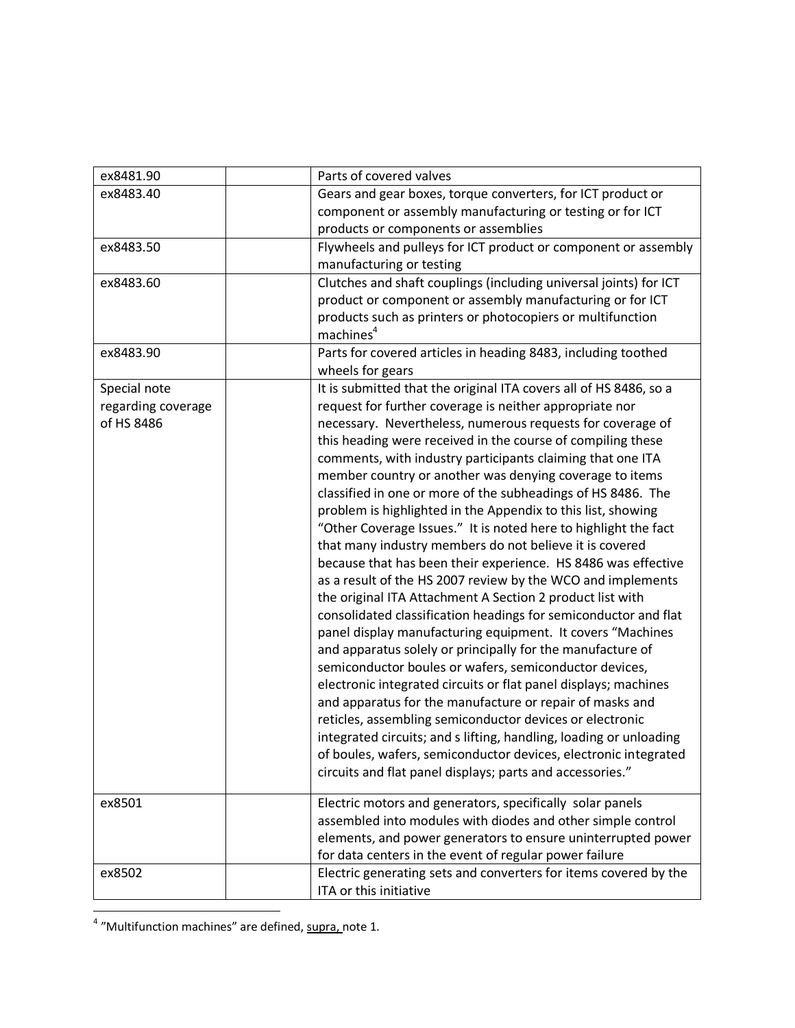| ex8481.90          | Parts of covered valves                                            |
|--------------------|--------------------------------------------------------------------|
| ex8483.40          | Gears and gear boxes, torque converters, for ICT product or        |
|                    | component or assembly manufacturing or testing or for ICT          |
|                    | products or components or assemblies                               |
| ex8483.50          | Flywheels and pulleys for ICT product or component or assembly     |
|                    | manufacturing or testing                                           |
| ex8483.60          | Clutches and shaft couplings (including universal joints) for ICT  |
|                    | product or component or assembly manufacturing or for ICT          |
|                    | products such as printers or photocopiers or multifunction         |
|                    | machines <sup>4</sup>                                              |
| ex8483.90          | Parts for covered articles in heading 8483, including toothed      |
|                    | wheels for gears                                                   |
| Special note       | It is submitted that the original ITA covers all of HS 8486, so a  |
| regarding coverage | request for further coverage is neither appropriate nor            |
| of HS 8486         | necessary. Nevertheless, numerous requests for coverage of         |
|                    | this heading were received in the course of compiling these        |
|                    | comments, with industry participants claiming that one ITA         |
|                    | member country or another was denying coverage to items            |
|                    | classified in one or more of the subheadings of HS 8486. The       |
|                    | problem is highlighted in the Appendix to this list, showing       |
|                    | "Other Coverage Issues." It is noted here to highlight the fact    |
|                    | that many industry members do not believe it is covered            |
|                    | because that has been their experience. HS 8486 was effective      |
|                    | as a result of the HS 2007 review by the WCO and implements        |
|                    | the original ITA Attachment A Section 2 product list with          |
|                    | consolidated classification headings for semiconductor and flat    |
|                    | panel display manufacturing equipment. It covers "Machines         |
|                    | and apparatus solely or principally for the manufacture of         |
|                    | semiconductor boules or wafers, semiconductor devices,             |
|                    | electronic integrated circuits or flat panel displays; machines    |
|                    | and apparatus for the manufacture or repair of masks and           |
|                    | reticles, assembling semiconductor devices or electronic           |
|                    | integrated circuits; and s lifting, handling, loading or unloading |
|                    | of boules, wafers, semiconductor devices, electronic integrated    |
|                    | circuits and flat panel displays; parts and accessories."          |
| ex8501             | Electric motors and generators, specifically solar panels          |
|                    | assembled into modules with diodes and other simple control        |
|                    | elements, and power generators to ensure uninterrupted power       |
|                    | for data centers in the event of regular power failure             |
| ex8502             | Electric generating sets and converters for items covered by the   |
|                    | ITA or this initiative                                             |
|                    |                                                                    |

 4 "Multifunction machines" are defined, supra, note 1.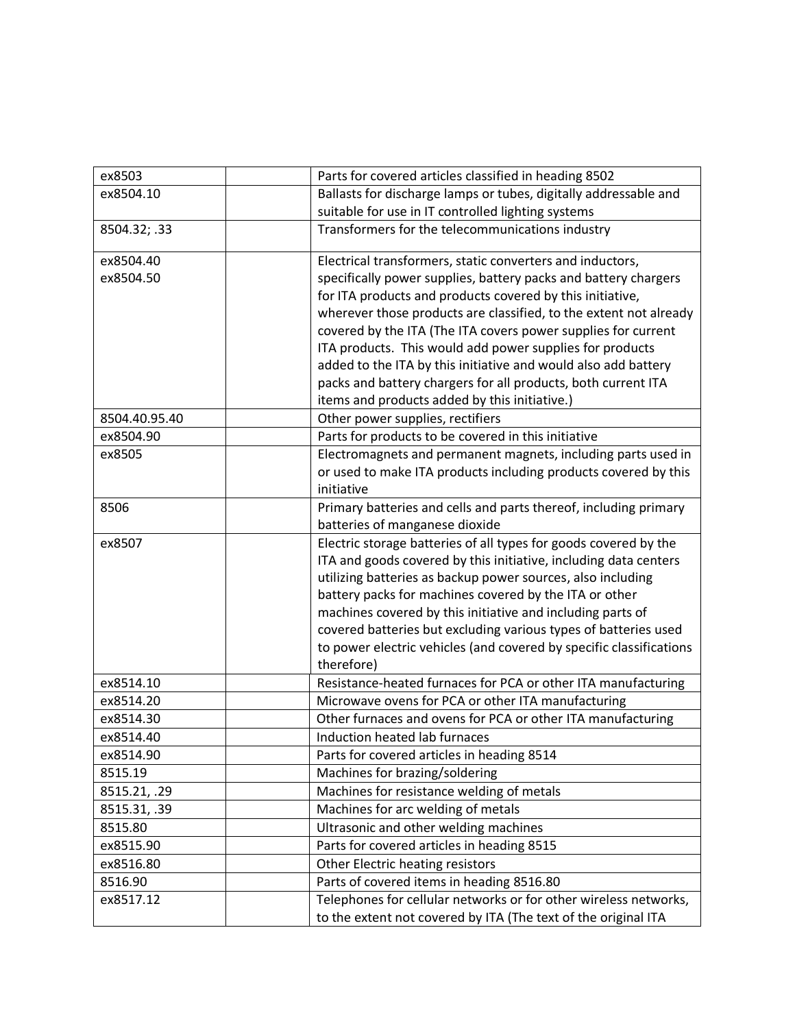| ex8503        | Parts for covered articles classified in heading 8502                                                                  |
|---------------|------------------------------------------------------------------------------------------------------------------------|
| ex8504.10     |                                                                                                                        |
|               | Ballasts for discharge lamps or tubes, digitally addressable and<br>suitable for use in IT controlled lighting systems |
|               |                                                                                                                        |
| 8504.32; .33  | Transformers for the telecommunications industry                                                                       |
| ex8504.40     | Electrical transformers, static converters and inductors,                                                              |
| ex8504.50     | specifically power supplies, battery packs and battery chargers                                                        |
|               | for ITA products and products covered by this initiative,                                                              |
|               | wherever those products are classified, to the extent not already                                                      |
|               | covered by the ITA (The ITA covers power supplies for current                                                          |
|               | ITA products. This would add power supplies for products                                                               |
|               | added to the ITA by this initiative and would also add battery                                                         |
|               | packs and battery chargers for all products, both current ITA                                                          |
|               | items and products added by this initiative.)                                                                          |
| 8504.40.95.40 | Other power supplies, rectifiers                                                                                       |
| ex8504.90     | Parts for products to be covered in this initiative                                                                    |
| ex8505        | Electromagnets and permanent magnets, including parts used in                                                          |
|               | or used to make ITA products including products covered by this                                                        |
|               | initiative                                                                                                             |
| 8506          | Primary batteries and cells and parts thereof, including primary                                                       |
|               | batteries of manganese dioxide                                                                                         |
| ex8507        | Electric storage batteries of all types for goods covered by the                                                       |
|               | ITA and goods covered by this initiative, including data centers                                                       |
|               | utilizing batteries as backup power sources, also including                                                            |
|               | battery packs for machines covered by the ITA or other                                                                 |
|               | machines covered by this initiative and including parts of                                                             |
|               | covered batteries but excluding various types of batteries used                                                        |
|               | to power electric vehicles (and covered by specific classifications                                                    |
|               | therefore)                                                                                                             |
| ex8514.10     | Resistance-heated furnaces for PCA or other ITA manufacturing                                                          |
| ex8514.20     | Microwave ovens for PCA or other ITA manufacturing                                                                     |
| ex8514.30     | Other furnaces and ovens for PCA or other ITA manufacturing                                                            |
| ex8514.40     | Induction heated lab furnaces                                                                                          |
| ex8514.90     | Parts for covered articles in heading 8514                                                                             |
| 8515.19       | Machines for brazing/soldering                                                                                         |
| 8515.21, .29  | Machines for resistance welding of metals                                                                              |
| 8515.31, .39  | Machines for arc welding of metals                                                                                     |
| 8515.80       | Ultrasonic and other welding machines                                                                                  |
| ex8515.90     | Parts for covered articles in heading 8515                                                                             |
| ex8516.80     | Other Electric heating resistors                                                                                       |
| 8516.90       | Parts of covered items in heading 8516.80                                                                              |
| ex8517.12     | Telephones for cellular networks or for other wireless networks,                                                       |
|               | to the extent not covered by ITA (The text of the original ITA                                                         |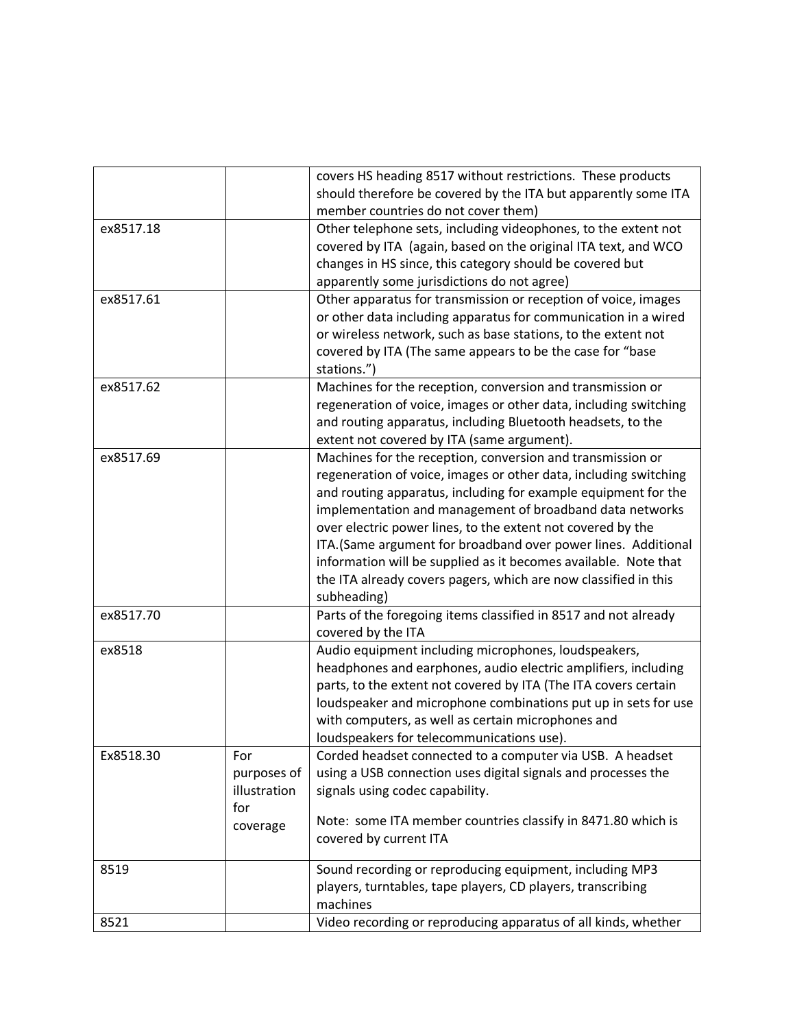|           |              | covers HS heading 8517 without restrictions. These products      |
|-----------|--------------|------------------------------------------------------------------|
|           |              | should therefore be covered by the ITA but apparently some ITA   |
|           |              | member countries do not cover them)                              |
| ex8517.18 |              | Other telephone sets, including videophones, to the extent not   |
|           |              | covered by ITA (again, based on the original ITA text, and WCO   |
|           |              | changes in HS since, this category should be covered but         |
|           |              | apparently some jurisdictions do not agree)                      |
| ex8517.61 |              | Other apparatus for transmission or reception of voice, images   |
|           |              | or other data including apparatus for communication in a wired   |
|           |              | or wireless network, such as base stations, to the extent not    |
|           |              | covered by ITA (The same appears to be the case for "base        |
|           |              | stations.")                                                      |
| ex8517.62 |              | Machines for the reception, conversion and transmission or       |
|           |              | regeneration of voice, images or other data, including switching |
|           |              | and routing apparatus, including Bluetooth headsets, to the      |
|           |              | extent not covered by ITA (same argument).                       |
| ex8517.69 |              | Machines for the reception, conversion and transmission or       |
|           |              | regeneration of voice, images or other data, including switching |
|           |              | and routing apparatus, including for example equipment for the   |
|           |              | implementation and management of broadband data networks         |
|           |              | over electric power lines, to the extent not covered by the      |
|           |              | ITA. (Same argument for broadband over power lines. Additional   |
|           |              | information will be supplied as it becomes available. Note that  |
|           |              | the ITA already covers pagers, which are now classified in this  |
|           |              | subheading)                                                      |
| ex8517.70 |              | Parts of the foregoing items classified in 8517 and not already  |
|           |              | covered by the ITA                                               |
| ex8518    |              | Audio equipment including microphones, loudspeakers,             |
|           |              | headphones and earphones, audio electric amplifiers, including   |
|           |              | parts, to the extent not covered by ITA (The ITA covers certain  |
|           |              | loudspeaker and microphone combinations put up in sets for use   |
|           |              | with computers, as well as certain microphones and               |
|           |              | loudspeakers for telecommunications use).                        |
| Ex8518.30 | For          | Corded headset connected to a computer via USB. A headset        |
|           | purposes of  | using a USB connection uses digital signals and processes the    |
|           | illustration | signals using codec capability.                                  |
|           | for          |                                                                  |
|           | coverage     | Note: some ITA member countries classify in 8471.80 which is     |
|           |              | covered by current ITA                                           |
| 8519      |              | Sound recording or reproducing equipment, including MP3          |
|           |              | players, turntables, tape players, CD players, transcribing      |
|           |              | machines                                                         |
| 8521      |              | Video recording or reproducing apparatus of all kinds, whether   |
|           |              |                                                                  |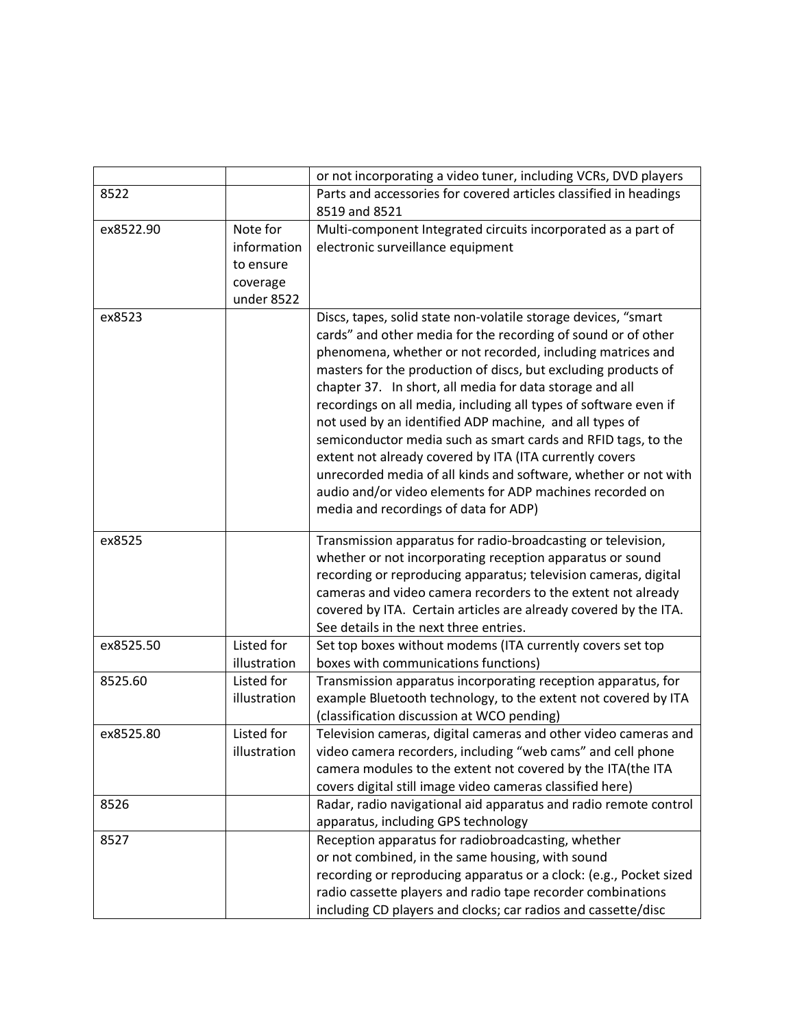|           |                                                                | or not incorporating a video tuner, including VCRs, DVD players                                                                                                                                                                                                                                                                                                                                                                                                                                                                                                                                                                                                                                                                                                |
|-----------|----------------------------------------------------------------|----------------------------------------------------------------------------------------------------------------------------------------------------------------------------------------------------------------------------------------------------------------------------------------------------------------------------------------------------------------------------------------------------------------------------------------------------------------------------------------------------------------------------------------------------------------------------------------------------------------------------------------------------------------------------------------------------------------------------------------------------------------|
| 8522      |                                                                | Parts and accessories for covered articles classified in headings<br>8519 and 8521                                                                                                                                                                                                                                                                                                                                                                                                                                                                                                                                                                                                                                                                             |
| ex8522.90 | Note for<br>information<br>to ensure<br>coverage<br>under 8522 | Multi-component Integrated circuits incorporated as a part of<br>electronic surveillance equipment                                                                                                                                                                                                                                                                                                                                                                                                                                                                                                                                                                                                                                                             |
| ex8523    |                                                                | Discs, tapes, solid state non-volatile storage devices, "smart<br>cards" and other media for the recording of sound or of other<br>phenomena, whether or not recorded, including matrices and<br>masters for the production of discs, but excluding products of<br>chapter 37. In short, all media for data storage and all<br>recordings on all media, including all types of software even if<br>not used by an identified ADP machine, and all types of<br>semiconductor media such as smart cards and RFID tags, to the<br>extent not already covered by ITA (ITA currently covers<br>unrecorded media of all kinds and software, whether or not with<br>audio and/or video elements for ADP machines recorded on<br>media and recordings of data for ADP) |
| ex8525    |                                                                | Transmission apparatus for radio-broadcasting or television,<br>whether or not incorporating reception apparatus or sound<br>recording or reproducing apparatus; television cameras, digital<br>cameras and video camera recorders to the extent not already<br>covered by ITA. Certain articles are already covered by the ITA.<br>See details in the next three entries.                                                                                                                                                                                                                                                                                                                                                                                     |
| ex8525.50 | Listed for<br>illustration                                     | Set top boxes without modems (ITA currently covers set top<br>boxes with communications functions)                                                                                                                                                                                                                                                                                                                                                                                                                                                                                                                                                                                                                                                             |
| 8525.60   | Listed for<br>illustration                                     | Transmission apparatus incorporating reception apparatus, for<br>example Bluetooth technology, to the extent not covered by ITA<br>(classification discussion at WCO pending)                                                                                                                                                                                                                                                                                                                                                                                                                                                                                                                                                                                  |
| ex8525.80 | Listed for<br>illustration                                     | Television cameras, digital cameras and other video cameras and<br>video camera recorders, including "web cams" and cell phone<br>camera modules to the extent not covered by the ITA(the ITA<br>covers digital still image video cameras classified here)                                                                                                                                                                                                                                                                                                                                                                                                                                                                                                     |
| 8526      |                                                                | Radar, radio navigational aid apparatus and radio remote control<br>apparatus, including GPS technology                                                                                                                                                                                                                                                                                                                                                                                                                                                                                                                                                                                                                                                        |
| 8527      |                                                                | Reception apparatus for radiobroadcasting, whether<br>or not combined, in the same housing, with sound<br>recording or reproducing apparatus or a clock: (e.g., Pocket sized<br>radio cassette players and radio tape recorder combinations<br>including CD players and clocks; car radios and cassette/disc                                                                                                                                                                                                                                                                                                                                                                                                                                                   |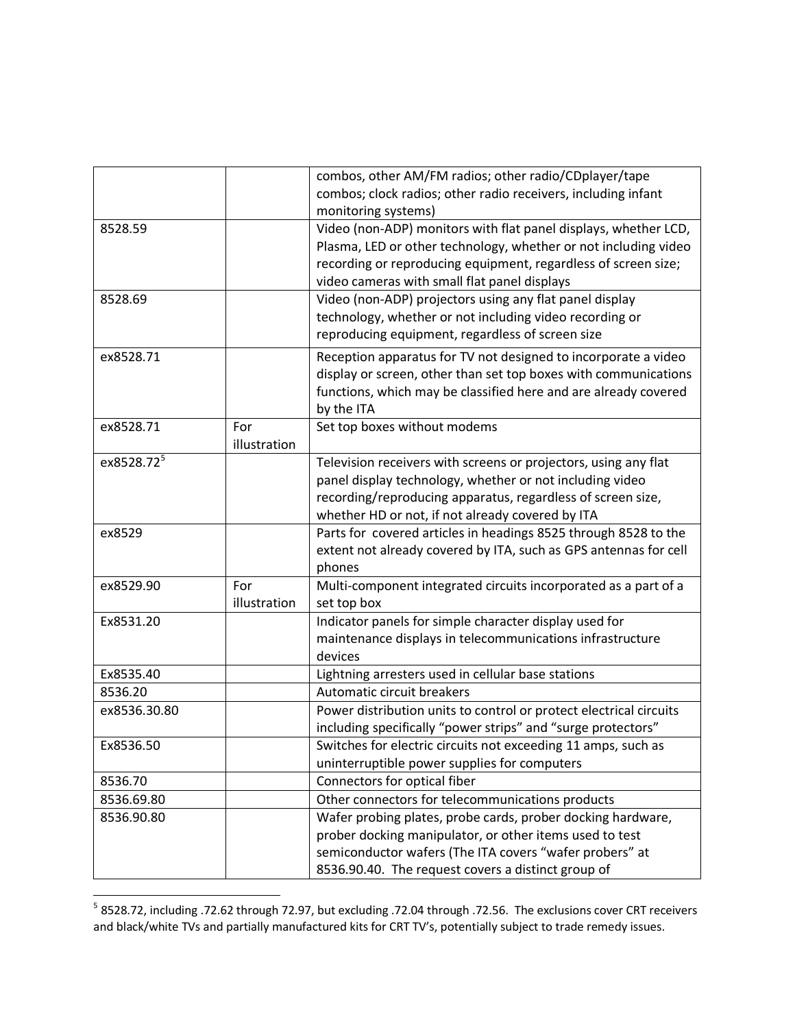|                        |              | combos, other AM/FM radios; other radio/CDplayer/tape              |
|------------------------|--------------|--------------------------------------------------------------------|
|                        |              | combos; clock radios; other radio receivers, including infant      |
|                        |              | monitoring systems)                                                |
| 8528.59                |              | Video (non-ADP) monitors with flat panel displays, whether LCD,    |
|                        |              | Plasma, LED or other technology, whether or not including video    |
|                        |              | recording or reproducing equipment, regardless of screen size;     |
|                        |              | video cameras with small flat panel displays                       |
| 8528.69                |              | Video (non-ADP) projectors using any flat panel display            |
|                        |              | technology, whether or not including video recording or            |
|                        |              | reproducing equipment, regardless of screen size                   |
| ex8528.71              |              | Reception apparatus for TV not designed to incorporate a video     |
|                        |              | display or screen, other than set top boxes with communications    |
|                        |              | functions, which may be classified here and are already covered    |
|                        |              | by the ITA                                                         |
| ex8528.71              | For          | Set top boxes without modems                                       |
|                        | illustration |                                                                    |
| ex8528.72 <sup>5</sup> |              | Television receivers with screens or projectors, using any flat    |
|                        |              | panel display technology, whether or not including video           |
|                        |              | recording/reproducing apparatus, regardless of screen size,        |
|                        |              | whether HD or not, if not already covered by ITA                   |
| ex8529                 |              | Parts for covered articles in headings 8525 through 8528 to the    |
|                        |              | extent not already covered by ITA, such as GPS antennas for cell   |
|                        |              | phones                                                             |
| ex8529.90              | For          | Multi-component integrated circuits incorporated as a part of a    |
|                        | illustration | set top box                                                        |
| Ex8531.20              |              | Indicator panels for simple character display used for             |
|                        |              | maintenance displays in telecommunications infrastructure          |
|                        |              | devices                                                            |
| Ex8535.40              |              | Lightning arresters used in cellular base stations                 |
| 8536.20                |              | Automatic circuit breakers                                         |
| ex8536.30.80           |              | Power distribution units to control or protect electrical circuits |
|                        |              | including specifically "power strips" and "surge protectors"       |
| Ex8536.50              |              | Switches for electric circuits not exceeding 11 amps, such as      |
|                        |              | uninterruptible power supplies for computers                       |
| 8536.70                |              | Connectors for optical fiber                                       |
| 8536.69.80             |              | Other connectors for telecommunications products                   |
| 8536.90.80             |              | Wafer probing plates, probe cards, prober docking hardware,        |
|                        |              | prober docking manipulator, or other items used to test            |
|                        |              | semiconductor wafers (The ITA covers "wafer probers" at            |
|                        |              | 8536.90.40. The request covers a distinct group of                 |

 5 8528.72, including .72.62 through 72.97, but excluding .72.04 through .72.56. The exclusions cover CRT receivers and black/white TVs and partially manufactured kits for CRT TV's, potentially subject to trade remedy issues.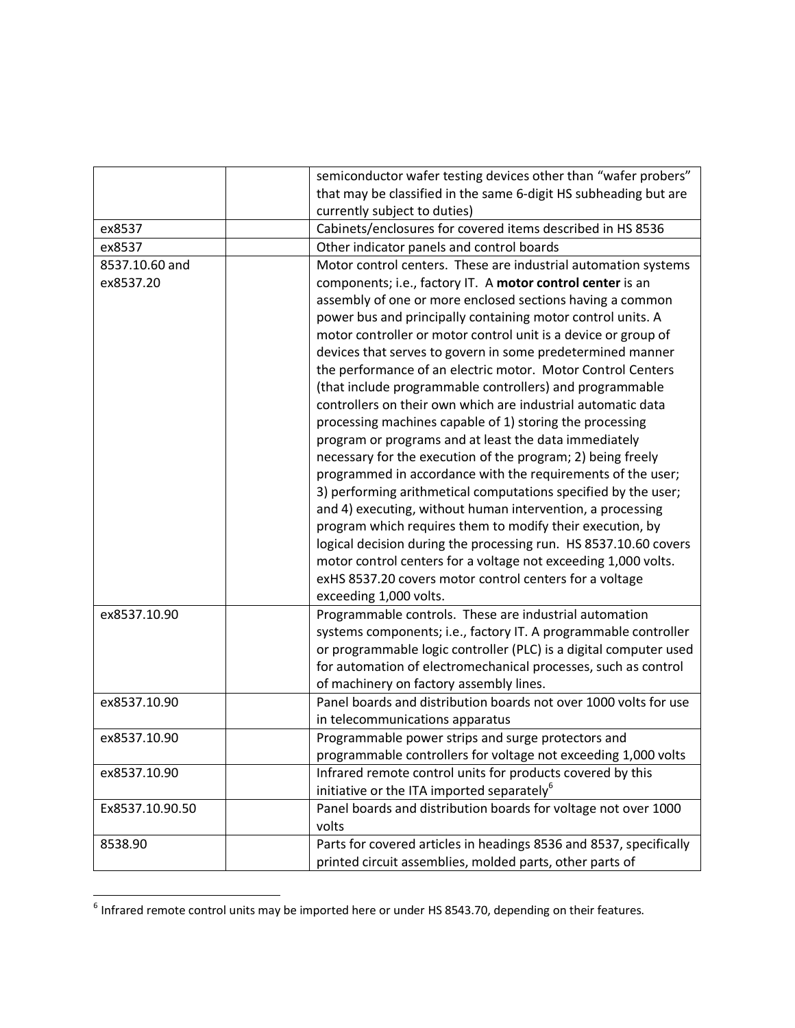|                 | semiconductor wafer testing devices other than "wafer probers"     |
|-----------------|--------------------------------------------------------------------|
|                 | that may be classified in the same 6-digit HS subheading but are   |
|                 | currently subject to duties)                                       |
| ex8537          | Cabinets/enclosures for covered items described in HS 8536         |
| ex8537          | Other indicator panels and control boards                          |
| 8537.10.60 and  | Motor control centers. These are industrial automation systems     |
| ex8537.20       | components; i.e., factory IT. A motor control center is an         |
|                 | assembly of one or more enclosed sections having a common          |
|                 | power bus and principally containing motor control units. A        |
|                 | motor controller or motor control unit is a device or group of     |
|                 | devices that serves to govern in some predetermined manner         |
|                 | the performance of an electric motor. Motor Control Centers        |
|                 | (that include programmable controllers) and programmable           |
|                 | controllers on their own which are industrial automatic data       |
|                 | processing machines capable of 1) storing the processing           |
|                 | program or programs and at least the data immediately              |
|                 | necessary for the execution of the program; 2) being freely        |
|                 | programmed in accordance with the requirements of the user;        |
|                 | 3) performing arithmetical computations specified by the user;     |
|                 | and 4) executing, without human intervention, a processing         |
|                 | program which requires them to modify their execution, by          |
|                 | logical decision during the processing run. HS 8537.10.60 covers   |
|                 | motor control centers for a voltage not exceeding 1,000 volts.     |
|                 | exHS 8537.20 covers motor control centers for a voltage            |
|                 | exceeding 1,000 volts.                                             |
| ex8537.10.90    | Programmable controls. These are industrial automation             |
|                 | systems components; i.e., factory IT. A programmable controller    |
|                 | or programmable logic controller (PLC) is a digital computer used  |
|                 | for automation of electromechanical processes, such as control     |
|                 | of machinery on factory assembly lines.                            |
| ex8537.10.90    | Panel boards and distribution boards not over 1000 volts for use   |
|                 | in telecommunications apparatus                                    |
| ex8537.10.90    | Programmable power strips and surge protectors and                 |
|                 | programmable controllers for voltage not exceeding 1,000 volts     |
| ex8537.10.90    | Infrared remote control units for products covered by this         |
|                 | initiative or the ITA imported separately <sup>6</sup>             |
| Ex8537.10.90.50 | Panel boards and distribution boards for voltage not over 1000     |
|                 | volts                                                              |
| 8538.90         | Parts for covered articles in headings 8536 and 8537, specifically |
|                 | printed circuit assemblies, molded parts, other parts of           |

 6 Infrared remote control units may be imported here or under HS 8543.70, depending on their features.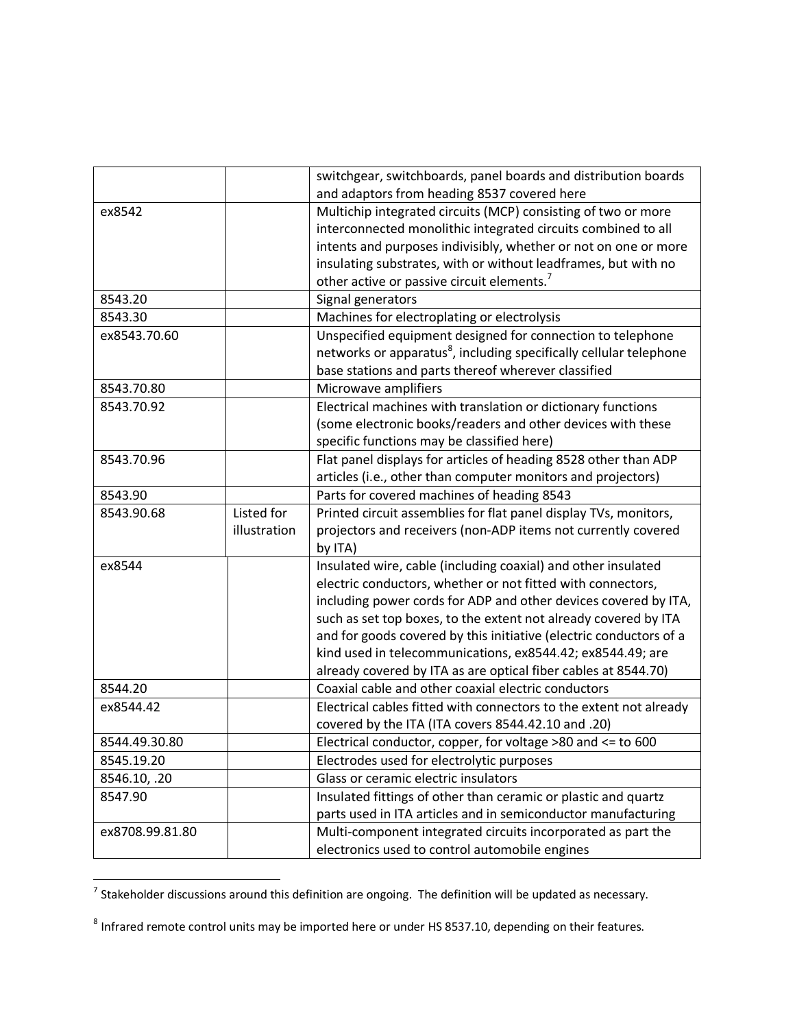|                 |              | switchgear, switchboards, panel boards and distribution boards                 |
|-----------------|--------------|--------------------------------------------------------------------------------|
|                 |              | and adaptors from heading 8537 covered here                                    |
| ex8542          |              | Multichip integrated circuits (MCP) consisting of two or more                  |
|                 |              | interconnected monolithic integrated circuits combined to all                  |
|                 |              | intents and purposes indivisibly, whether or not on one or more                |
|                 |              | insulating substrates, with or without leadframes, but with no                 |
|                 |              | other active or passive circuit elements. <sup>7</sup>                         |
| 8543.20         |              | Signal generators                                                              |
| 8543.30         |              | Machines for electroplating or electrolysis                                    |
| ex8543.70.60    |              | Unspecified equipment designed for connection to telephone                     |
|                 |              | networks or apparatus <sup>8</sup> , including specifically cellular telephone |
|                 |              | base stations and parts thereof wherever classified                            |
| 8543.70.80      |              | Microwave amplifiers                                                           |
| 8543.70.92      |              | Electrical machines with translation or dictionary functions                   |
|                 |              | (some electronic books/readers and other devices with these                    |
|                 |              | specific functions may be classified here)                                     |
| 8543.70.96      |              | Flat panel displays for articles of heading 8528 other than ADP                |
|                 |              | articles (i.e., other than computer monitors and projectors)                   |
| 8543.90         |              | Parts for covered machines of heading 8543                                     |
| 8543.90.68      | Listed for   | Printed circuit assemblies for flat panel display TVs, monitors,               |
|                 | illustration | projectors and receivers (non-ADP items not currently covered                  |
|                 |              | by ITA)                                                                        |
| ex8544          |              | Insulated wire, cable (including coaxial) and other insulated                  |
|                 |              | electric conductors, whether or not fitted with connectors,                    |
|                 |              | including power cords for ADP and other devices covered by ITA,                |
|                 |              | such as set top boxes, to the extent not already covered by ITA                |
|                 |              | and for goods covered by this initiative (electric conductors of a             |
|                 |              | kind used in telecommunications, ex8544.42; ex8544.49; are                     |
|                 |              | already covered by ITA as are optical fiber cables at 8544.70)                 |
| 8544.20         |              | Coaxial cable and other coaxial electric conductors                            |
| ex8544.42       |              | Electrical cables fitted with connectors to the extent not already             |
|                 |              | covered by the ITA (ITA covers 8544.42.10 and .20)                             |
| 8544.49.30.80   |              | Electrical conductor, copper, for voltage >80 and <= to 600                    |
| 8545.19.20      |              | Electrodes used for electrolytic purposes                                      |
| 8546.10, .20    |              | Glass or ceramic electric insulators                                           |
| 8547.90         |              | Insulated fittings of other than ceramic or plastic and quartz                 |
|                 |              | parts used in ITA articles and in semiconductor manufacturing                  |
| ex8708.99.81.80 |              | Multi-component integrated circuits incorporated as part the                   |
|                 |              | electronics used to control automobile engines                                 |

 7 Stakeholder discussions around this definition are ongoing. The definition will be updated as necessary.

 $^8$  Infrared remote control units may be imported here or under HS 8537.10, depending on their features.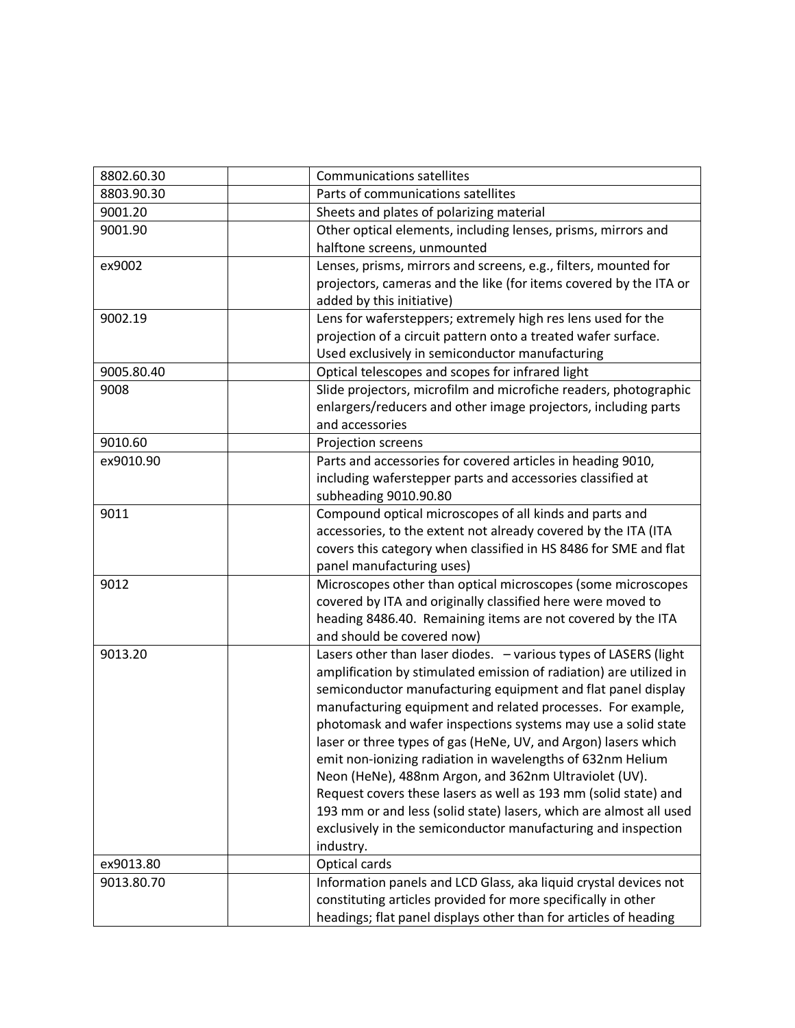| 8802.60.30 | <b>Communications satellites</b>                                                                                                                                                                                                                                                                                                                                                                                                                                                                                                                                                                                                                                                                                                                       |
|------------|--------------------------------------------------------------------------------------------------------------------------------------------------------------------------------------------------------------------------------------------------------------------------------------------------------------------------------------------------------------------------------------------------------------------------------------------------------------------------------------------------------------------------------------------------------------------------------------------------------------------------------------------------------------------------------------------------------------------------------------------------------|
| 8803.90.30 | Parts of communications satellites                                                                                                                                                                                                                                                                                                                                                                                                                                                                                                                                                                                                                                                                                                                     |
| 9001.20    | Sheets and plates of polarizing material                                                                                                                                                                                                                                                                                                                                                                                                                                                                                                                                                                                                                                                                                                               |
| 9001.90    | Other optical elements, including lenses, prisms, mirrors and<br>halftone screens, unmounted                                                                                                                                                                                                                                                                                                                                                                                                                                                                                                                                                                                                                                                           |
| ex9002     | Lenses, prisms, mirrors and screens, e.g., filters, mounted for<br>projectors, cameras and the like (for items covered by the ITA or<br>added by this initiative)                                                                                                                                                                                                                                                                                                                                                                                                                                                                                                                                                                                      |
| 9002.19    | Lens for wafersteppers; extremely high res lens used for the<br>projection of a circuit pattern onto a treated wafer surface.<br>Used exclusively in semiconductor manufacturing                                                                                                                                                                                                                                                                                                                                                                                                                                                                                                                                                                       |
| 9005.80.40 | Optical telescopes and scopes for infrared light                                                                                                                                                                                                                                                                                                                                                                                                                                                                                                                                                                                                                                                                                                       |
| 9008       | Slide projectors, microfilm and microfiche readers, photographic<br>enlargers/reducers and other image projectors, including parts<br>and accessories                                                                                                                                                                                                                                                                                                                                                                                                                                                                                                                                                                                                  |
| 9010.60    | Projection screens                                                                                                                                                                                                                                                                                                                                                                                                                                                                                                                                                                                                                                                                                                                                     |
| ex9010.90  | Parts and accessories for covered articles in heading 9010,<br>including waferstepper parts and accessories classified at<br>subheading 9010.90.80                                                                                                                                                                                                                                                                                                                                                                                                                                                                                                                                                                                                     |
| 9011       | Compound optical microscopes of all kinds and parts and<br>accessories, to the extent not already covered by the ITA (ITA<br>covers this category when classified in HS 8486 for SME and flat<br>panel manufacturing uses)                                                                                                                                                                                                                                                                                                                                                                                                                                                                                                                             |
| 9012       | Microscopes other than optical microscopes (some microscopes<br>covered by ITA and originally classified here were moved to<br>heading 8486.40. Remaining items are not covered by the ITA<br>and should be covered now)                                                                                                                                                                                                                                                                                                                                                                                                                                                                                                                               |
| 9013.20    | Lasers other than laser diodes. - various types of LASERS (light<br>amplification by stimulated emission of radiation) are utilized in<br>semiconductor manufacturing equipment and flat panel display<br>manufacturing equipment and related processes. For example,<br>photomask and wafer inspections systems may use a solid state<br>laser or three types of gas (HeNe, UV, and Argon) lasers which<br>emit non-ionizing radiation in wavelengths of 632nm Helium<br>Neon (HeNe), 488nm Argon, and 362nm Ultraviolet (UV).<br>Request covers these lasers as well as 193 mm (solid state) and<br>193 mm or and less (solid state) lasers, which are almost all used<br>exclusively in the semiconductor manufacturing and inspection<br>industry. |
| ex9013.80  | Optical cards                                                                                                                                                                                                                                                                                                                                                                                                                                                                                                                                                                                                                                                                                                                                          |
| 9013.80.70 | Information panels and LCD Glass, aka liquid crystal devices not<br>constituting articles provided for more specifically in other<br>headings; flat panel displays other than for articles of heading                                                                                                                                                                                                                                                                                                                                                                                                                                                                                                                                                  |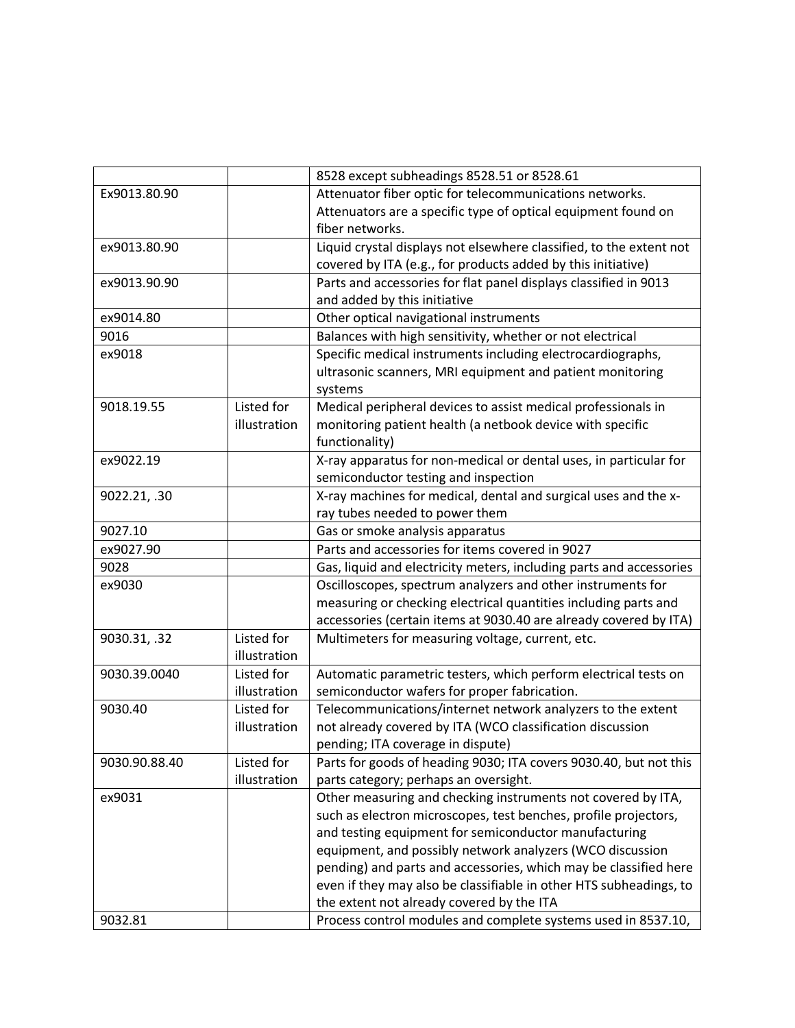|               |              | 8528 except subheadings 8528.51 or 8528.61                          |
|---------------|--------------|---------------------------------------------------------------------|
| Ex9013.80.90  |              | Attenuator fiber optic for telecommunications networks.             |
|               |              | Attenuators are a specific type of optical equipment found on       |
|               |              | fiber networks.                                                     |
| ex9013.80.90  |              | Liquid crystal displays not elsewhere classified, to the extent not |
|               |              | covered by ITA (e.g., for products added by this initiative)        |
| ex9013.90.90  |              | Parts and accessories for flat panel displays classified in 9013    |
|               |              | and added by this initiative                                        |
| ex9014.80     |              | Other optical navigational instruments                              |
| 9016          |              | Balances with high sensitivity, whether or not electrical           |
| ex9018        |              | Specific medical instruments including electrocardiographs,         |
|               |              | ultrasonic scanners, MRI equipment and patient monitoring           |
|               |              | systems                                                             |
| 9018.19.55    | Listed for   | Medical peripheral devices to assist medical professionals in       |
|               | illustration | monitoring patient health (a netbook device with specific           |
|               |              | functionality)                                                      |
| ex9022.19     |              | X-ray apparatus for non-medical or dental uses, in particular for   |
|               |              | semiconductor testing and inspection                                |
| 9022.21, .30  |              | X-ray machines for medical, dental and surgical uses and the x-     |
|               |              | ray tubes needed to power them                                      |
| 9027.10       |              | Gas or smoke analysis apparatus                                     |
| ex9027.90     |              | Parts and accessories for items covered in 9027                     |
| 9028          |              | Gas, liquid and electricity meters, including parts and accessories |
| ex9030        |              | Oscilloscopes, spectrum analyzers and other instruments for         |
|               |              | measuring or checking electrical quantities including parts and     |
|               |              | accessories (certain items at 9030.40 are already covered by ITA)   |
| 9030.31, .32  | Listed for   | Multimeters for measuring voltage, current, etc.                    |
|               | illustration |                                                                     |
| 9030.39.0040  | Listed for   | Automatic parametric testers, which perform electrical tests on     |
|               | illustration | semiconductor wafers for proper fabrication.                        |
| 9030.40       | Listed for   | Telecommunications/internet network analyzers to the extent         |
|               | illustration | not already covered by ITA (WCO classification discussion           |
|               |              | pending; ITA coverage in dispute)                                   |
| 9030.90.88.40 | Listed for   | Parts for goods of heading 9030; ITA covers 9030.40, but not this   |
|               | illustration | parts category; perhaps an oversight.                               |
| ex9031        |              | Other measuring and checking instruments not covered by ITA,        |
|               |              | such as electron microscopes, test benches, profile projectors,     |
|               |              | and testing equipment for semiconductor manufacturing               |
|               |              | equipment, and possibly network analyzers (WCO discussion           |
|               |              | pending) and parts and accessories, which may be classified here    |
|               |              | even if they may also be classifiable in other HTS subheadings, to  |
|               |              | the extent not already covered by the ITA                           |
| 9032.81       |              | Process control modules and complete systems used in 8537.10,       |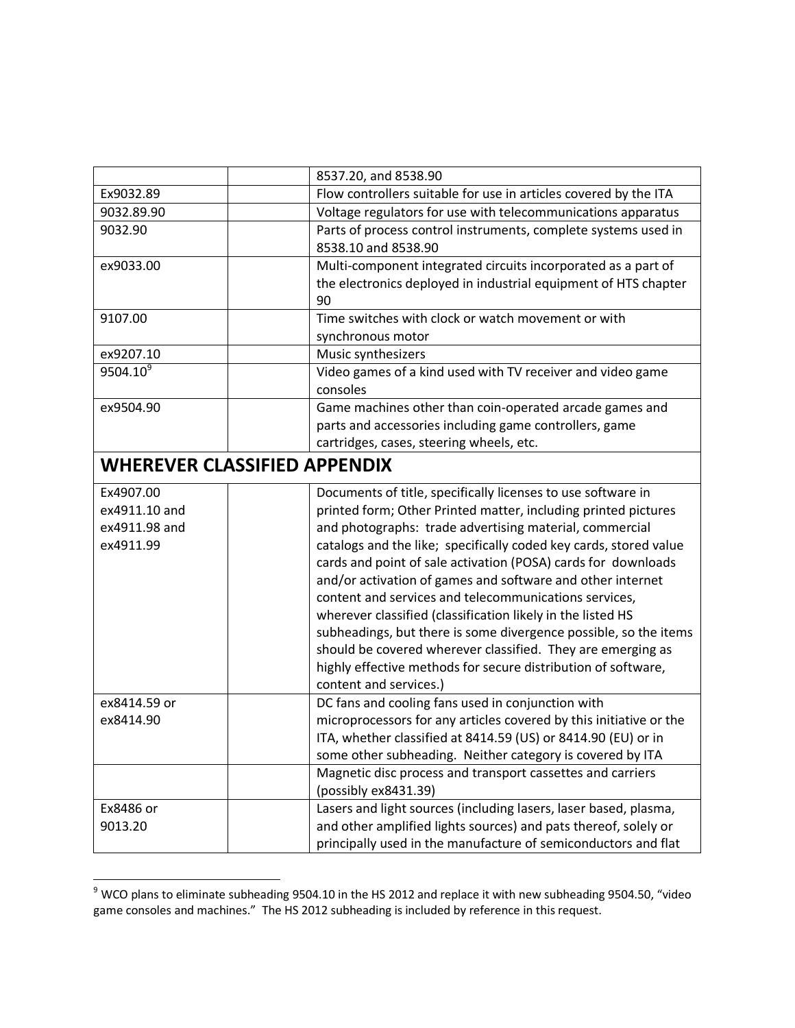|                                                          | 8537.20, and 8538.90                                                                                                                                                                                                                                                                                                                                                                                                                                                                                                                                                                                                                                                                                                                                |  |
|----------------------------------------------------------|-----------------------------------------------------------------------------------------------------------------------------------------------------------------------------------------------------------------------------------------------------------------------------------------------------------------------------------------------------------------------------------------------------------------------------------------------------------------------------------------------------------------------------------------------------------------------------------------------------------------------------------------------------------------------------------------------------------------------------------------------------|--|
| Ex9032.89                                                | Flow controllers suitable for use in articles covered by the ITA                                                                                                                                                                                                                                                                                                                                                                                                                                                                                                                                                                                                                                                                                    |  |
| 9032.89.90                                               | Voltage regulators for use with telecommunications apparatus                                                                                                                                                                                                                                                                                                                                                                                                                                                                                                                                                                                                                                                                                        |  |
| 9032.90                                                  | Parts of process control instruments, complete systems used in<br>8538.10 and 8538.90                                                                                                                                                                                                                                                                                                                                                                                                                                                                                                                                                                                                                                                               |  |
| ex9033.00                                                | Multi-component integrated circuits incorporated as a part of<br>the electronics deployed in industrial equipment of HTS chapter<br>90                                                                                                                                                                                                                                                                                                                                                                                                                                                                                                                                                                                                              |  |
| 9107.00                                                  | Time switches with clock or watch movement or with<br>synchronous motor                                                                                                                                                                                                                                                                                                                                                                                                                                                                                                                                                                                                                                                                             |  |
| ex9207.10                                                | Music synthesizers                                                                                                                                                                                                                                                                                                                                                                                                                                                                                                                                                                                                                                                                                                                                  |  |
| 9504.10 <sup>9</sup>                                     | Video games of a kind used with TV receiver and video game<br>consoles                                                                                                                                                                                                                                                                                                                                                                                                                                                                                                                                                                                                                                                                              |  |
| ex9504.90                                                | Game machines other than coin-operated arcade games and<br>parts and accessories including game controllers, game<br>cartridges, cases, steering wheels, etc.                                                                                                                                                                                                                                                                                                                                                                                                                                                                                                                                                                                       |  |
| <b>WHEREVER CLASSIFIED APPENDIX</b>                      |                                                                                                                                                                                                                                                                                                                                                                                                                                                                                                                                                                                                                                                                                                                                                     |  |
| Ex4907.00<br>ex4911.10 and<br>ex4911.98 and<br>ex4911.99 | Documents of title, specifically licenses to use software in<br>printed form; Other Printed matter, including printed pictures<br>and photographs: trade advertising material, commercial<br>catalogs and the like; specifically coded key cards, stored value<br>cards and point of sale activation (POSA) cards for downloads<br>and/or activation of games and software and other internet<br>content and services and telecommunications services,<br>wherever classified (classification likely in the listed HS<br>subheadings, but there is some divergence possible, so the items<br>should be covered wherever classified. They are emerging as<br>highly effective methods for secure distribution of software,<br>content and services.) |  |
| ex8414.59 or<br>ex8414.90                                | DC fans and cooling fans used in conjunction with<br>microprocessors for any articles covered by this initiative or the<br>ITA, whether classified at 8414.59 (US) or 8414.90 (EU) or in<br>some other subheading. Neither category is covered by ITA<br>Magnetic disc process and transport cassettes and carriers                                                                                                                                                                                                                                                                                                                                                                                                                                 |  |
|                                                          | (possibly ex8431.39)                                                                                                                                                                                                                                                                                                                                                                                                                                                                                                                                                                                                                                                                                                                                |  |
| Ex8486 or<br>9013.20                                     | Lasers and light sources (including lasers, laser based, plasma,<br>and other amplified lights sources) and pats thereof, solely or<br>principally used in the manufacture of semiconductors and flat                                                                                                                                                                                                                                                                                                                                                                                                                                                                                                                                               |  |

 9 WCO plans to eliminate subheading 9504.10 in the HS 2012 and replace it with new subheading 9504.50, "video game consoles and machines." The HS 2012 subheading is included by reference in this request.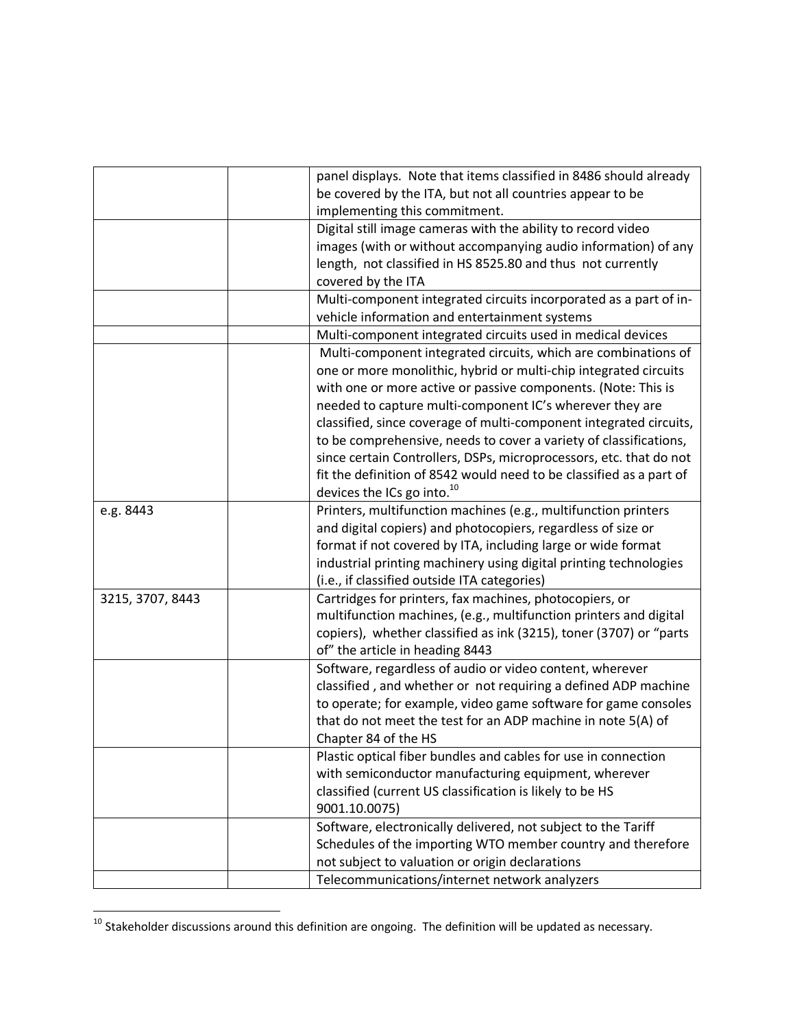|                  | panel displays. Note that items classified in 8486 should already   |
|------------------|---------------------------------------------------------------------|
|                  | be covered by the ITA, but not all countries appear to be           |
|                  | implementing this commitment.                                       |
|                  | Digital still image cameras with the ability to record video        |
|                  | images (with or without accompanying audio information) of any      |
|                  | length, not classified in HS 8525.80 and thus not currently         |
|                  | covered by the ITA                                                  |
|                  | Multi-component integrated circuits incorporated as a part of in-   |
|                  | vehicle information and entertainment systems                       |
|                  | Multi-component integrated circuits used in medical devices         |
|                  | Multi-component integrated circuits, which are combinations of      |
|                  | one or more monolithic, hybrid or multi-chip integrated circuits    |
|                  | with one or more active or passive components. (Note: This is       |
|                  | needed to capture multi-component IC's wherever they are            |
|                  | classified, since coverage of multi-component integrated circuits,  |
|                  | to be comprehensive, needs to cover a variety of classifications,   |
|                  | since certain Controllers, DSPs, microprocessors, etc. that do not  |
|                  | fit the definition of 8542 would need to be classified as a part of |
|                  | devices the ICs go into. $^{10}$                                    |
| e.g. 8443        | Printers, multifunction machines (e.g., multifunction printers      |
|                  | and digital copiers) and photocopiers, regardless of size or        |
|                  | format if not covered by ITA, including large or wide format        |
|                  | industrial printing machinery using digital printing technologies   |
|                  | (i.e., if classified outside ITA categories)                        |
| 3215, 3707, 8443 | Cartridges for printers, fax machines, photocopiers, or             |
|                  | multifunction machines, (e.g., multifunction printers and digital   |
|                  | copiers), whether classified as ink (3215), toner (3707) or "parts  |
|                  | of" the article in heading 8443                                     |
|                  | Software, regardless of audio or video content, wherever            |
|                  | classified, and whether or not requiring a defined ADP machine      |
|                  | to operate; for example, video game software for game consoles      |
|                  | that do not meet the test for an ADP machine in note 5(A) of        |
|                  | Chapter 84 of the HS                                                |
|                  | Plastic optical fiber bundles and cables for use in connection      |
|                  | with semiconductor manufacturing equipment, wherever                |
|                  | classified (current US classification is likely to be HS            |
|                  | 9001.10.0075)                                                       |
|                  | Software, electronically delivered, not subject to the Tariff       |
|                  | Schedules of the importing WTO member country and therefore         |
|                  | not subject to valuation or origin declarations                     |
|                  | Telecommunications/internet network analyzers                       |
|                  |                                                                     |

 $^{10}$  Stakeholder discussions around this definition are ongoing. The definition will be updated as necessary.

 $\overline{a}$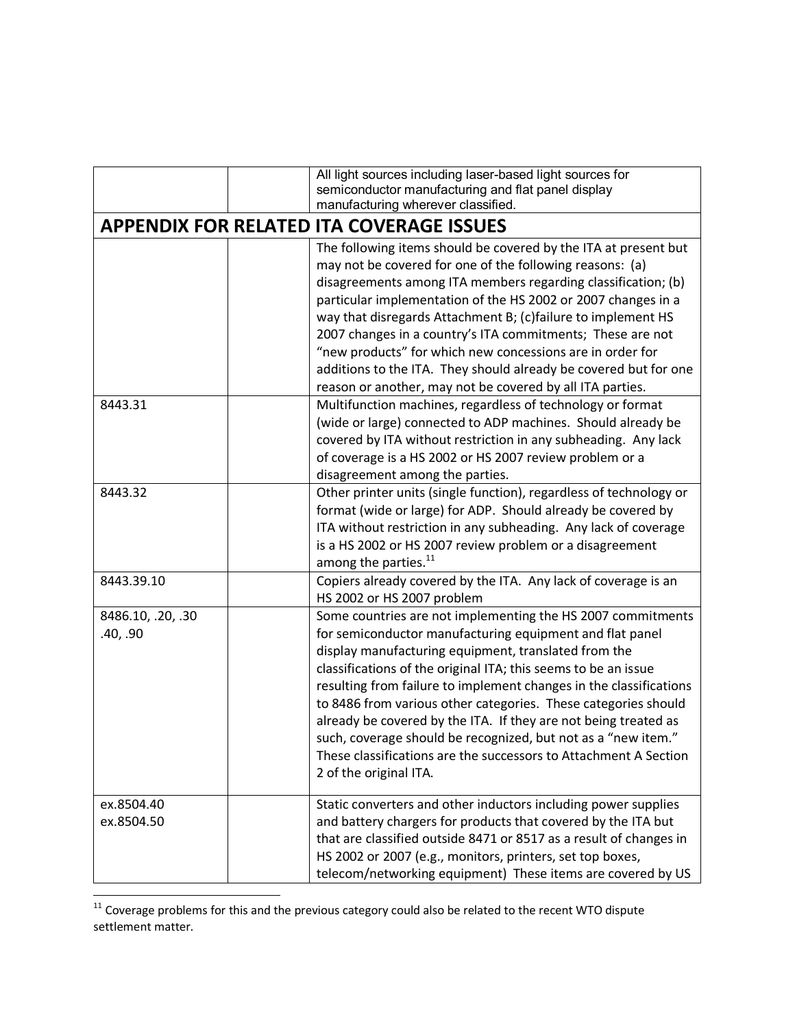|                               | All light sources including laser-based light sources for<br>semiconductor manufacturing and flat panel display<br>manufacturing wherever classified.                                                                                                                                                                                                                                                                                                                                                                                                                                                                       |
|-------------------------------|-----------------------------------------------------------------------------------------------------------------------------------------------------------------------------------------------------------------------------------------------------------------------------------------------------------------------------------------------------------------------------------------------------------------------------------------------------------------------------------------------------------------------------------------------------------------------------------------------------------------------------|
|                               | <b>APPENDIX FOR RELATED ITA COVERAGE ISSUES</b>                                                                                                                                                                                                                                                                                                                                                                                                                                                                                                                                                                             |
|                               | The following items should be covered by the ITA at present but<br>may not be covered for one of the following reasons: (a)<br>disagreements among ITA members regarding classification; (b)<br>particular implementation of the HS 2002 or 2007 changes in a<br>way that disregards Attachment B; (c)failure to implement HS<br>2007 changes in a country's ITA commitments; These are not<br>"new products" for which new concessions are in order for<br>additions to the ITA. They should already be covered but for one<br>reason or another, may not be covered by all ITA parties.                                   |
| 8443.31                       | Multifunction machines, regardless of technology or format<br>(wide or large) connected to ADP machines. Should already be<br>covered by ITA without restriction in any subheading. Any lack<br>of coverage is a HS 2002 or HS 2007 review problem or a<br>disagreement among the parties.                                                                                                                                                                                                                                                                                                                                  |
| 8443.32                       | Other printer units (single function), regardless of technology or<br>format (wide or large) for ADP. Should already be covered by<br>ITA without restriction in any subheading. Any lack of coverage<br>is a HS 2002 or HS 2007 review problem or a disagreement<br>among the parties. <sup>11</sup>                                                                                                                                                                                                                                                                                                                       |
| 8443.39.10                    | Copiers already covered by the ITA. Any lack of coverage is an<br>HS 2002 or HS 2007 problem                                                                                                                                                                                                                                                                                                                                                                                                                                                                                                                                |
| 8486.10, .20, .30<br>.40, .90 | Some countries are not implementing the HS 2007 commitments<br>for semiconductor manufacturing equipment and flat panel<br>display manufacturing equipment, translated from the<br>classifications of the original ITA; this seems to be an issue<br>resulting from failure to implement changes in the classifications<br>to 8486 from various other categories. These categories should<br>already be covered by the ITA. If they are not being treated as<br>such, coverage should be recognized, but not as a "new item."<br>These classifications are the successors to Attachment A Section<br>2 of the original ITA. |
| ex.8504.40<br>ex.8504.50      | Static converters and other inductors including power supplies<br>and battery chargers for products that covered by the ITA but<br>that are classified outside 8471 or 8517 as a result of changes in<br>HS 2002 or 2007 (e.g., monitors, printers, set top boxes,<br>telecom/networking equipment) These items are covered by US                                                                                                                                                                                                                                                                                           |

 $11$  Coverage problems for this and the previous category could also be related to the recent WTO dispute settlement matter.

 $\overline{\phantom{a}}$